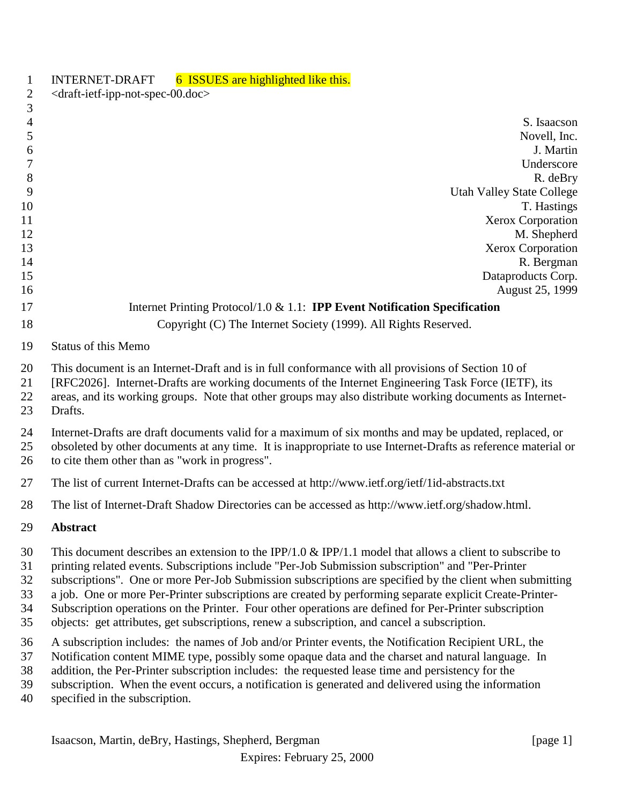| 1                                | 6 ISSUES are highlighted like this.<br><b>INTERNET-DRAFT</b>                                                                                                                                                                                                                                                                                                                                                                                                                                                                                                                                                                                    |
|----------------------------------|-------------------------------------------------------------------------------------------------------------------------------------------------------------------------------------------------------------------------------------------------------------------------------------------------------------------------------------------------------------------------------------------------------------------------------------------------------------------------------------------------------------------------------------------------------------------------------------------------------------------------------------------------|
| $\overline{c}$<br>$\mathfrak{Z}$ | <draft-ietf-ipp-not-spec-00.doc></draft-ietf-ipp-not-spec-00.doc>                                                                                                                                                                                                                                                                                                                                                                                                                                                                                                                                                                               |
| $\overline{4}$                   | S. Isaacson                                                                                                                                                                                                                                                                                                                                                                                                                                                                                                                                                                                                                                     |
| 5                                | Novell, Inc.                                                                                                                                                                                                                                                                                                                                                                                                                                                                                                                                                                                                                                    |
| 6                                | J. Martin                                                                                                                                                                                                                                                                                                                                                                                                                                                                                                                                                                                                                                       |
| $\boldsymbol{7}$                 | Underscore                                                                                                                                                                                                                                                                                                                                                                                                                                                                                                                                                                                                                                      |
| 8                                | R. deBry                                                                                                                                                                                                                                                                                                                                                                                                                                                                                                                                                                                                                                        |
| 9                                | <b>Utah Valley State College</b>                                                                                                                                                                                                                                                                                                                                                                                                                                                                                                                                                                                                                |
| 10                               | T. Hastings                                                                                                                                                                                                                                                                                                                                                                                                                                                                                                                                                                                                                                     |
| 11<br>12                         | Xerox Corporation                                                                                                                                                                                                                                                                                                                                                                                                                                                                                                                                                                                                                               |
| 13                               | M. Shepherd<br><b>Xerox Corporation</b>                                                                                                                                                                                                                                                                                                                                                                                                                                                                                                                                                                                                         |
| 14                               | R. Bergman                                                                                                                                                                                                                                                                                                                                                                                                                                                                                                                                                                                                                                      |
| 15                               | Dataproducts Corp.                                                                                                                                                                                                                                                                                                                                                                                                                                                                                                                                                                                                                              |
| 16                               | August 25, 1999                                                                                                                                                                                                                                                                                                                                                                                                                                                                                                                                                                                                                                 |
| 17                               | Internet Printing Protocol/1.0 $\&$ 1.1: <b>IPP Event Notification Specification</b>                                                                                                                                                                                                                                                                                                                                                                                                                                                                                                                                                            |
| 18                               | Copyright (C) The Internet Society (1999). All Rights Reserved.                                                                                                                                                                                                                                                                                                                                                                                                                                                                                                                                                                                 |
| 19                               | <b>Status of this Memo</b>                                                                                                                                                                                                                                                                                                                                                                                                                                                                                                                                                                                                                      |
| 20<br>21<br>22<br>23             | This document is an Internet-Draft and is in full conformance with all provisions of Section 10 of<br>[RFC2026]. Internet-Drafts are working documents of the Internet Engineering Task Force (IETF), its<br>areas, and its working groups. Note that other groups may also distribute working documents as Internet-<br>Drafts.                                                                                                                                                                                                                                                                                                                |
| 24<br>25<br>26                   | Internet-Drafts are draft documents valid for a maximum of six months and may be updated, replaced, or<br>obsoleted by other documents at any time. It is inappropriate to use Internet-Drafts as reference material or<br>to cite them other than as "work in progress".                                                                                                                                                                                                                                                                                                                                                                       |
| 27                               | The list of current Internet-Drafts can be accessed at http://www.ietf.org/ietf/1id-abstracts.txt                                                                                                                                                                                                                                                                                                                                                                                                                                                                                                                                               |
| 28                               | The list of Internet-Draft Shadow Directories can be accessed as http://www.ietf.org/shadow.html.                                                                                                                                                                                                                                                                                                                                                                                                                                                                                                                                               |
| 29                               | Abstract                                                                                                                                                                                                                                                                                                                                                                                                                                                                                                                                                                                                                                        |
| 30<br>31<br>32<br>33<br>34<br>35 | This document describes an extension to the IPP/1.0 & IPP/1.1 model that allows a client to subscribe to<br>printing related events. Subscriptions include "Per-Job Submission subscription" and "Per-Printer<br>subscriptions". One or more Per-Job Submission subscriptions are specified by the client when submitting<br>a job. One or more Per-Printer subscriptions are created by performing separate explicit Create-Printer-<br>Subscription operations on the Printer. Four other operations are defined for Per-Printer subscription<br>objects: get attributes, get subscriptions, renew a subscription, and cancel a subscription. |
| 36<br>37<br>38<br>39<br>40       | A subscription includes: the names of Job and/or Printer events, the Notification Recipient URL, the<br>Notification content MIME type, possibly some opaque data and the charset and natural language. In<br>addition, the Per-Printer subscription includes: the requested lease time and persistency for the<br>subscription. When the event occurs, a notification is generated and delivered using the information<br>specified in the subscription.                                                                                                                                                                                       |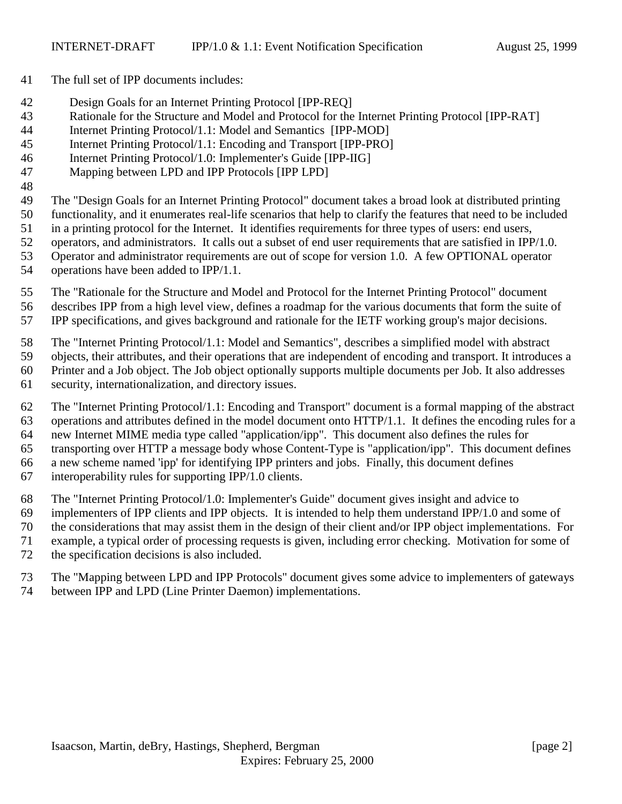- The full set of IPP documents includes:
- Design Goals for an Internet Printing Protocol [IPP-REQ]
- Rationale for the Structure and Model and Protocol for the Internet Printing Protocol [IPP-RAT]
- Internet Printing Protocol/1.1: Model and Semantics [IPP-MOD]
- Internet Printing Protocol/1.1: Encoding and Transport [IPP-PRO]
- Internet Printing Protocol/1.0: Implementer's Guide [IPP-IIG]
- Mapping between LPD and IPP Protocols [IPP LPD]
- The "Design Goals for an Internet Printing Protocol" document takes a broad look at distributed printing
- functionality, and it enumerates real-life scenarios that help to clarify the features that need to be included
- in a printing protocol for the Internet. It identifies requirements for three types of users: end users,
- operators, and administrators. It calls out a subset of end user requirements that are satisfied in IPP/1.0.
- Operator and administrator requirements are out of scope for version 1.0. A few OPTIONAL operator
- operations have been added to IPP/1.1.
- The "Rationale for the Structure and Model and Protocol for the Internet Printing Protocol" document describes IPP from a high level view, defines a roadmap for the various documents that form the suite of
- IPP specifications, and gives background and rationale for the IETF working group's major decisions.
- The "Internet Printing Protocol/1.1: Model and Semantics", describes a simplified model with abstract
- objects, their attributes, and their operations that are independent of encoding and transport. It introduces a
- Printer and a Job object. The Job object optionally supports multiple documents per Job. It also addresses
- security, internationalization, and directory issues.
- The "Internet Printing Protocol/1.1: Encoding and Transport" document is a formal mapping of the abstract operations and attributes defined in the model document onto HTTP/1.1. It defines the encoding rules for a new Internet MIME media type called "application/ipp". This document also defines the rules for transporting over HTTP a message body whose Content-Type is "application/ipp". This document defines a new scheme named 'ipp' for identifying IPP printers and jobs. Finally, this document defines interoperability rules for supporting IPP/1.0 clients.
- The "Internet Printing Protocol/1.0: Implementer's Guide" document gives insight and advice to
- 69 implementers of IPP clients and IPP objects. It is intended to help them understand IPP $/1.0$  and some of
- the considerations that may assist them in the design of their client and/or IPP object implementations. For
- example, a typical order of processing requests is given, including error checking. Motivation for some of
- the specification decisions is also included.
- The "Mapping between LPD and IPP Protocols" document gives some advice to implementers of gateways between IPP and LPD (Line Printer Daemon) implementations.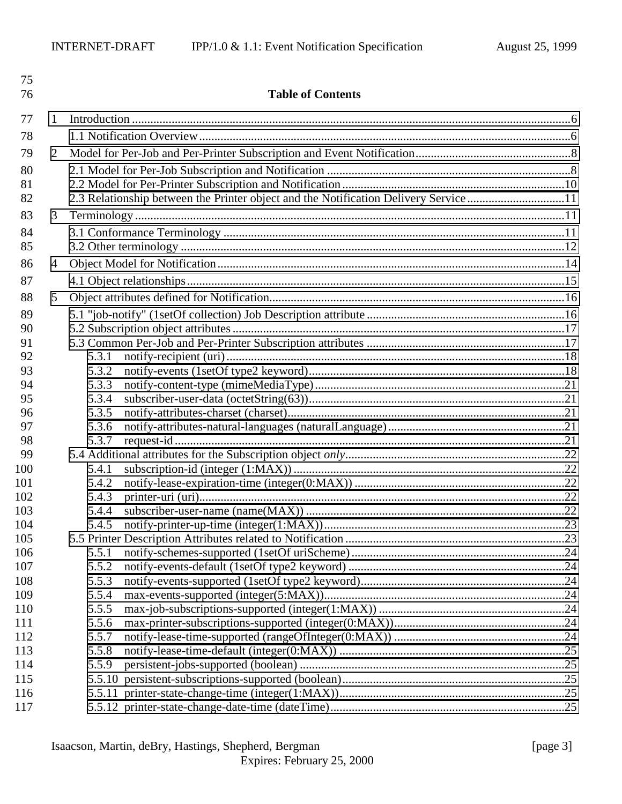| 75<br>76   |                |                | <b>Table of Contents</b>                                                             |  |
|------------|----------------|----------------|--------------------------------------------------------------------------------------|--|
| 77         | 1              |                |                                                                                      |  |
| 78         |                |                |                                                                                      |  |
| 79         | $\overline{2}$ |                |                                                                                      |  |
| 80         |                |                |                                                                                      |  |
| 81         |                |                |                                                                                      |  |
| 82         |                |                | 2.3 Relationship between the Printer object and the Notification Delivery Service 11 |  |
| 83         | 3              |                |                                                                                      |  |
| 84         |                |                |                                                                                      |  |
| 85         |                |                |                                                                                      |  |
| 86         | $\overline{4}$ |                |                                                                                      |  |
| 87         |                |                |                                                                                      |  |
| 88         | 5              |                |                                                                                      |  |
|            |                |                |                                                                                      |  |
| 89         |                |                |                                                                                      |  |
| 90<br>91   |                |                |                                                                                      |  |
| 92         |                | 5.3.1          |                                                                                      |  |
| 93         |                | 5.3.2          |                                                                                      |  |
| 94         |                | 5.3.3          |                                                                                      |  |
| 95         |                | 5.3.4          |                                                                                      |  |
| 96         |                | 5.3.5          |                                                                                      |  |
| 97         |                | 5.3.6          |                                                                                      |  |
| 98         |                | 5.3.7          |                                                                                      |  |
| 99         |                |                |                                                                                      |  |
| 100        |                | 5.4.1          |                                                                                      |  |
| 101        |                | 5.4.2          |                                                                                      |  |
| 102        |                | 5.4.3          |                                                                                      |  |
| 103        |                | 5.4.4          |                                                                                      |  |
| 104        |                | 5.4.5          |                                                                                      |  |
| 105        |                |                |                                                                                      |  |
| 106        |                | 5.5.1          |                                                                                      |  |
| 107<br>108 |                | 5.5.2          |                                                                                      |  |
| 109        |                | 5.5.3<br>5.5.4 |                                                                                      |  |
| 110        |                | 5.5.5          |                                                                                      |  |
| 111        |                | 5.5.6          |                                                                                      |  |
| 112        |                | 5.5.7          |                                                                                      |  |
| 113        |                | 5.5.8          |                                                                                      |  |
| 114        |                | 5.5.9          |                                                                                      |  |
| 115        |                |                |                                                                                      |  |
| 116        |                |                |                                                                                      |  |
| 117        |                |                |                                                                                      |  |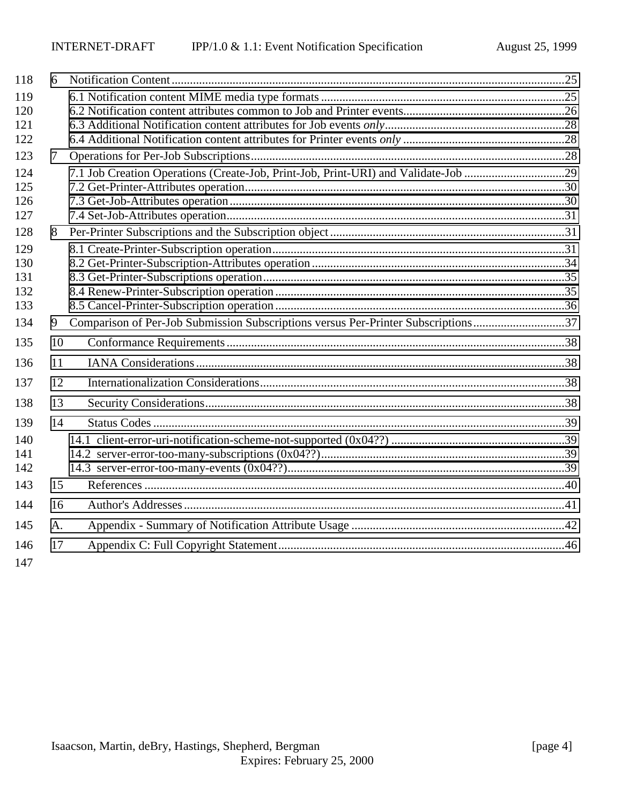| 118 | 6  |                                                                                    |  |
|-----|----|------------------------------------------------------------------------------------|--|
| 119 |    |                                                                                    |  |
| 120 |    |                                                                                    |  |
| 121 |    |                                                                                    |  |
| 122 |    |                                                                                    |  |
| 123 | 7  |                                                                                    |  |
| 124 |    | 7.1 Job Creation Operations (Create-Job, Print-Job, Print-URI) and Validate-Job 29 |  |
| 125 |    |                                                                                    |  |
| 126 |    |                                                                                    |  |
| 127 |    |                                                                                    |  |
| 128 | 8  |                                                                                    |  |
| 129 |    |                                                                                    |  |
| 130 |    |                                                                                    |  |
| 131 |    |                                                                                    |  |
| 132 |    |                                                                                    |  |
| 133 |    |                                                                                    |  |
| 134 | 9  | Comparison of Per-Job Submission Subscriptions versus Per-Printer Subscriptions37  |  |
| 135 | 10 |                                                                                    |  |
| 136 | 11 |                                                                                    |  |
| 137 | 12 |                                                                                    |  |
| 138 | 13 |                                                                                    |  |
| 139 | 14 |                                                                                    |  |
| 140 |    |                                                                                    |  |
| 141 |    |                                                                                    |  |
| 142 |    |                                                                                    |  |
| 143 | 15 |                                                                                    |  |
| 144 | 16 |                                                                                    |  |
| 145 | A. |                                                                                    |  |
| 146 | 17 |                                                                                    |  |
| 147 |    |                                                                                    |  |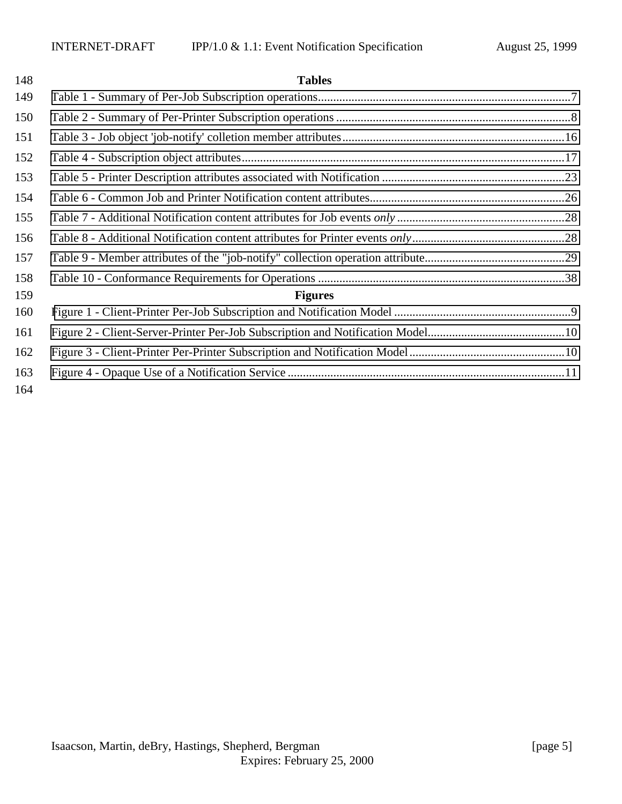### **Tables**

| 149        |                |  |
|------------|----------------|--|
| 150        |                |  |
| 151        |                |  |
| 152        |                |  |
| 153        |                |  |
| 154        |                |  |
| 155        |                |  |
| 156        |                |  |
| 157        |                |  |
| 158        |                |  |
| 159        | <b>Figures</b> |  |
| 160        |                |  |
| 161        |                |  |
| 162        |                |  |
| 163<br>164 |                |  |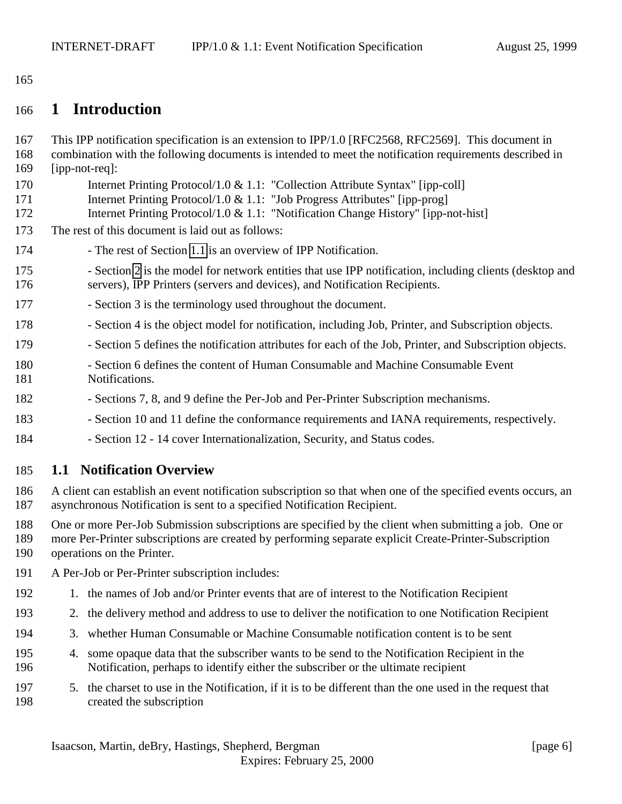# <span id="page-5-0"></span>**1 Introduction**

 This IPP notification specification is an extension to IPP/1.0 [RFC2568, RFC2569]. This document in combination with the following documents is intended to meet the notification requirements described in [ipp-not-req]: 170 Internet Printing Protocol/1.0 & 1.1: "Collection Attribute Syntax" [ipp-coll] 171 Internet Printing Protocol/1.0 & 1.1: "Job Progress Attributes" [ipp-prog] Internet Printing Protocol/1.0 & 1.1: "Notification Change History" [ipp-not-hist] The rest of this document is laid out as follows: - The rest of Section 1.1 is an overview of IPP Notification. - Section [2](#page-7-0) is the model for network entities that use IPP notification, including clients (desktop and servers), IPP Printers (servers and devices), and Notification Recipients. 177 - Section 3 is the terminology used throughout the document. - Section 4 is the object model for notification, including Job, Printer, and Subscription objects. 179 - Section 5 defines the notification attributes for each of the Job, Printer, and Subscription objects. - Section 6 defines the content of Human Consumable and Machine Consumable Event Notifications. - Sections 7, 8, and 9 define the Per-Job and Per-Printer Subscription mechanisms. 183 - Section 10 and 11 define the conformance requirements and IANA requirements, respectively. - Section 12 - 14 cover Internationalization, Security, and Status codes. **1.1 Notification Overview** A client can establish an event notification subscription so that when one of the specified events occurs, an asynchronous Notification is sent to a specified Notification Recipient. One or more Per-Job Submission subscriptions are specified by the client when submitting a job. One or more Per-Printer subscriptions are created by performing separate explicit Create-Printer-Subscription operations on the Printer. A Per-Job or Per-Printer subscription includes: 1. the names of Job and/or Printer events that are of interest to the Notification Recipient 2. the delivery method and address to use to deliver the notification to one Notification Recipient 3. whether Human Consumable or Machine Consumable notification content is to be sent 4. some opaque data that the subscriber wants to be send to the Notification Recipient in the Notification, perhaps to identify either the subscriber or the ultimate recipient

 5. the charset to use in the Notification, if it is to be different than the one used in the request that created the subscription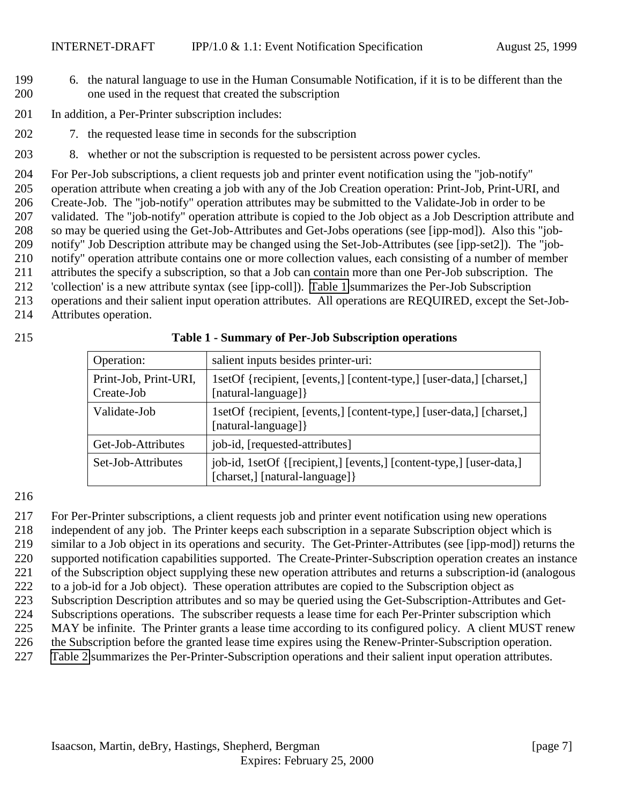- <span id="page-6-0"></span> 6. the natural language to use in the Human Consumable Notification, if it is to be different than the one used in the request that created the subscription
- 201 In addition, a Per-Printer subscription includes:
- 7. the requested lease time in seconds for the subscription
- 8. whether or not the subscription is requested to be persistent across power cycles.

 For Per-Job subscriptions, a client requests job and printer event notification using the "job-notify" operation attribute when creating a job with any of the Job Creation operation: Print-Job, Print-URI, and Create-Job. The "job-notify" operation attributes may be submitted to the Validate-Job in order to be validated. The "job-notify" operation attribute is copied to the Job object as a Job Description attribute and so may be queried using the Get-Job-Attributes and Get-Jobs operations (see [ipp-mod]). Also this "job- notify" Job Description attribute may be changed using the Set-Job-Attributes (see [ipp-set2]). The "job- notify" operation attribute contains one or more collection values, each consisting of a number of member attributes the specify a subscription, so that a Job can contain more than one Per-Job subscription. The 'collection' is a new attribute syntax (see [ipp-coll]). Table 1 summarizes the Per-Job Subscription operations and their salient input operation attributes. All operations are REQUIRED, except the Set-Job-Attributes operation.

| Operation:                          | salient inputs besides printer-uri:                                                                    |
|-------------------------------------|--------------------------------------------------------------------------------------------------------|
| Print-Job, Print-URI,<br>Create-Job | 1setOf {recipient, [events,] [content-type,] [user-data,] [charset,]<br>[natural-language] }           |
| Validate-Job                        | 1setOf {recipient, [events,] [content-type,] [user-data,] [charset,]<br>[natural-language] }           |
| Get-Job-Attributes                  | job-id, [requested-attributes]                                                                         |
| Set-Job-Attributes                  | job-id, 1setOf {[recipient,] [events,] [content-type,] [user-data,]<br>[charset,] [natural-language] } |

#### **Table 1 - Summary of Per-Job Subscription operations**

For Per-Printer subscriptions, a client requests job and printer event notification using new operations

independent of any job. The Printer keeps each subscription in a separate Subscription object which is

similar to a Job object in its operations and security. The Get-Printer-Attributes (see [ipp-mod]) returns the

supported notification capabilities supported. The Create-Printer-Subscription operation creates an instance

of the Subscription object supplying these new operation attributes and returns a subscription-id (analogous

to a job-id for a Job object). These operation attributes are copied to the Subscription object as

- Subscription Description attributes and so may be queried using the Get-Subscription-Attributes and Get-
- Subscriptions operations. The subscriber requests a lease time for each Per-Printer subscription which MAY be infinite. The Printer grants a lease time according to its configured policy. A client MUST renew
- the Subscription before the granted lease time expires using the Renew-Printer-Subscription operation.
- [Table 2](#page-7-0) summarizes the Per-Printer-Subscription operations and their salient input operation attributes.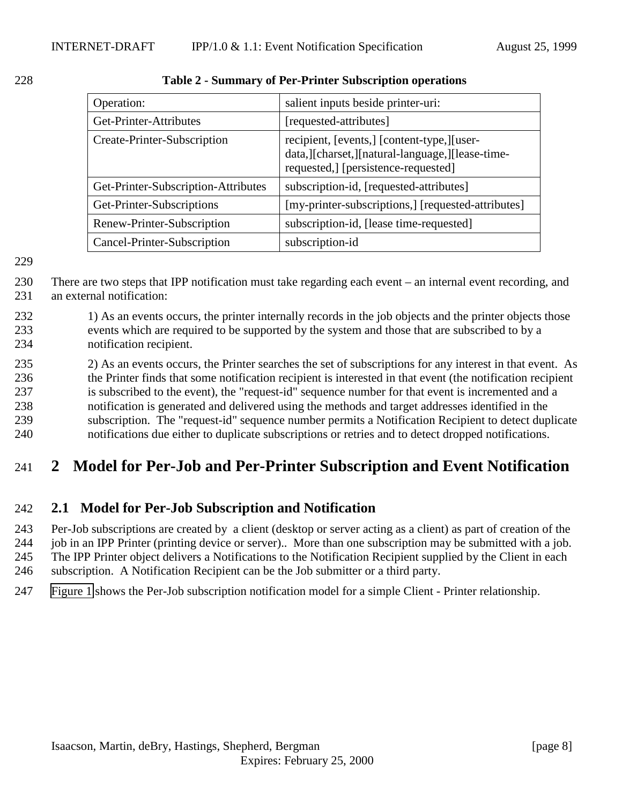| Operation:                          | salient inputs beside printer-uri:                                                                                                      |
|-------------------------------------|-----------------------------------------------------------------------------------------------------------------------------------------|
| Get-Printer-Attributes              | [requested-attributes]                                                                                                                  |
| Create-Printer-Subscription         | recipient, [events,] [content-type,][user-<br>data, [[charset, ][natural-language, ][lease-time-<br>requested,] [persistence-requested] |
| Get-Printer-Subscription-Attributes | subscription-id, [requested-attributes]                                                                                                 |
| Get-Printer-Subscriptions           | [my-printer-subscriptions,] [requested-attributes]                                                                                      |
| Renew-Printer-Subscription          | subscription-id, [lease time-requested]                                                                                                 |
| Cancel-Printer-Subscription         | subscription-id                                                                                                                         |

<span id="page-7-0"></span>

| 228 | Table 2 - Summary of Per-Printer Subscription operations |
|-----|----------------------------------------------------------|
|-----|----------------------------------------------------------|

230 There are two steps that IPP notification must take regarding each event – an internal event recording, and 231 an external notification:

- 232 1) As an events occurs, the printer internally records in the job objects and the printer objects those 233 events which are required to be supported by the system and those that are subscribed to by a 234 notification recipient.
- 235 2) As an events occurs, the Printer searches the set of subscriptions for any interest in that event. As 236 the Printer finds that some notification recipient is interested in that event (the notification recipient 237 is subscribed to the event), the "request-id" sequence number for that event is incremented and a 238 notification is generated and delivered using the methods and target addresses identified in the 239 subscription. The "request-id" sequence number permits a Notification Recipient to detect duplicate 240 notifications due either to duplicate subscriptions or retries and to detect dropped notifications.

# 241 **2 Model for Per-Job and Per-Printer Subscription and Event Notification**

### 242 **2.1 Model for Per-Job Subscription and Notification**

243 Per-Job subscriptions are created by a client (desktop or server acting as a client) as part of creation of the 244 job in an IPP Printer (printing device or server).. More than one subscription may be submitted with a job.

245 The IPP Printer object delivers a Notifications to the Notification Recipient supplied by the Client in each

- 246 subscription. A Notification Recipient can be the Job submitter or a third party.
- 247 [Figure 1](#page-8-0) shows the Per-Job subscription notification model for a simple Client Printer relationship.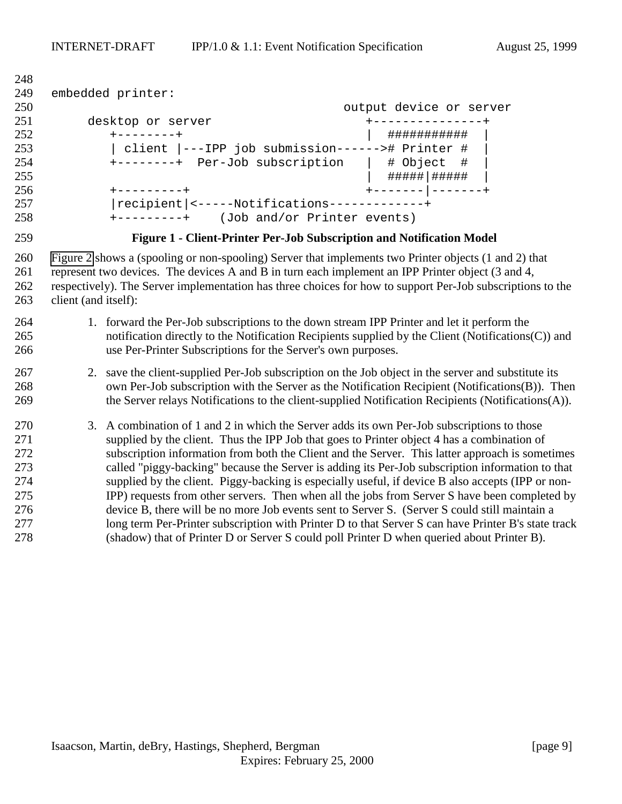```
249 embedded printer:
250 output device or server
251 desktop or server +---------------+
252 +--------+ | ########### |
253 | client |---IPP job submission------># Printer # |
254 +--------+ Per-Job subscription | # Object # |
255 | #####|##### |
256 +---------+ +-------|-------+
257 |recipient|<-----Notifications-------------+
258 +---------+ (Job and/or Printer events)
```
**Figure 1 - Client-Printer Per-Job Subscription and Notification Model**

 [Figure 2](#page-9-0) shows a (spooling or non-spooling) Server that implements two Printer objects (1 and 2) that represent two devices. The devices A and B in turn each implement an IPP Printer object (3 and 4, respectively). The Server implementation has three choices for how to support Per-Job subscriptions to the client (and itself):

### 1. forward the Per-Job subscriptions to the down stream IPP Printer and let it perform the notification directly to the Notification Recipients supplied by the Client (Notifications(C)) and use Per-Printer Subscriptions for the Server's own purposes.

#### 2. save the client-supplied Per-Job subscription on the Job object in the server and substitute its own Per-Job subscription with the Server as the Notification Recipient (Notifications(B)). Then 269 the Server relays Notifications to the client-supplied Notification Recipients (Notifications(A)).

 3. A combination of 1 and 2 in which the Server adds its own Per-Job subscriptions to those supplied by the client. Thus the IPP Job that goes to Printer object 4 has a combination of subscription information from both the Client and the Server. This latter approach is sometimes called "piggy-backing" because the Server is adding its Per-Job subscription information to that supplied by the client. Piggy-backing is especially useful, if device B also accepts (IPP or non- IPP) requests from other servers. Then when all the jobs from Server S have been completed by device B, there will be no more Job events sent to Server S. (Server S could still maintain a long term Per-Printer subscription with Printer D to that Server S can have Printer B's state track (shadow) that of Printer D or Server S could poll Printer D when queried about Printer B).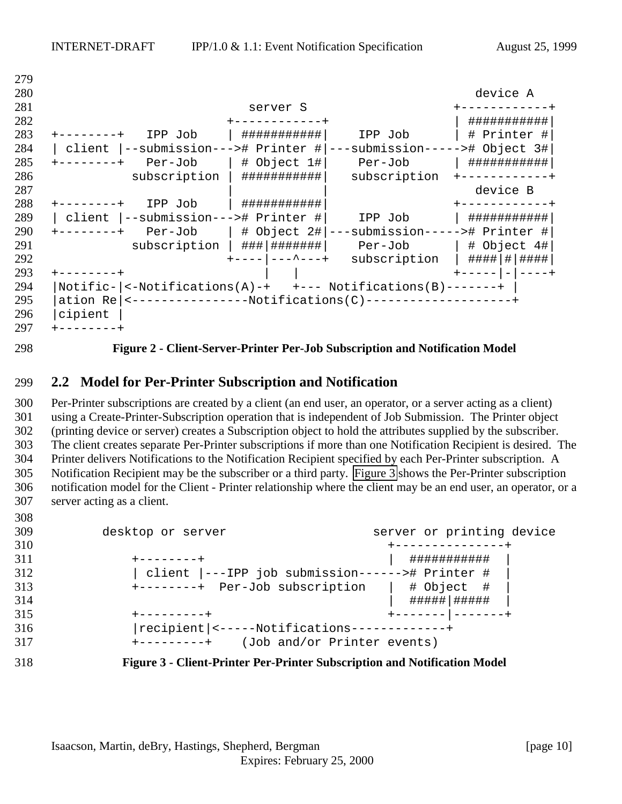<span id="page-9-0"></span>

| 279 |                                                                             |                                |
|-----|-----------------------------------------------------------------------------|--------------------------------|
| 280 |                                                                             | device A                       |
| 281 | server S                                                                    |                                |
| 282 |                                                                             | ###########                    |
| 283 | ###########<br>IPP Job<br>IPP Job                                           | # Printer #                    |
| 284 | --submission---># Printer # <br>  client                                    | ---submission-----># Object 3# |
| 285 | $ $ # Object 1# $ $<br>Per-Job<br>Per-Job<br>$------++$                     | ###########                    |
| 286 | subscription<br>###########<br>subscription                                 |                                |
| 287 |                                                                             | device B                       |
| 288 | ###########<br>IPP Job<br>-------+                                          | -----------                    |
| 289 | --submission---># Printer #<br>  client<br>IPP Job                          | ###########                    |
| 290 | $Per-Job$ # Object 2# ---submission-----># Printer #<br>$+ - - - - - - - +$ |                                |
| 291 | ###   #######  <br>subscription<br>Per-Job                                  | $ $ # Object $4$ #             |
| 292 | $--  ---$ +<br>subscription                                                 | #### # ####                    |
| 293 |                                                                             |                                |
| 294 |                                                                             |                                |
| 295 | ation Re   <-----------------Notifications(C)--------------------+          |                                |
| 296 | cipient                                                                     |                                |
| 297 |                                                                             |                                |

#### **Figure 2 - Client-Server-Printer Per-Job Subscription and Notification Model**

#### **2.2 Model for Per-Printer Subscription and Notification**

 Per-Printer subscriptions are created by a client (an end user, an operator, or a server acting as a client) using a Create-Printer-Subscription operation that is independent of Job Submission. The Printer object (printing device or server) creates a Subscription object to hold the attributes supplied by the subscriber. The client creates separate Per-Printer subscriptions if more than one Notification Recipient is desired. The Printer delivers Notifications to the Notification Recipient specified by each Per-Printer subscription. A Notification Recipient may be the subscriber or a third party. Figure 3 shows the Per-Printer subscription notification model for the Client - Printer relationship where the client may be an end user, an operator, or a server acting as a client.

| 309 | desktop or server                                    | server or printing device |
|-----|------------------------------------------------------|---------------------------|
| 310 |                                                      |                           |
| 311 |                                                      | ###########               |
| 312 | client  ---IPP job submission------># Printer #      |                           |
| 313 | +--------+ Per-Job subscription                      | # Object #                |
| 314 |                                                      | #####   #####             |
| 315 | +---------+                                          |                           |
| 316 | recipient <-----Notifications-------------+          |                           |
| 317 | (Job and/or Printer events)<br>$+ - - - - - - - - +$ |                           |
|     |                                                      |                           |

#### **Figure 3 - Client-Printer Per-Printer Subscription and Notification Model**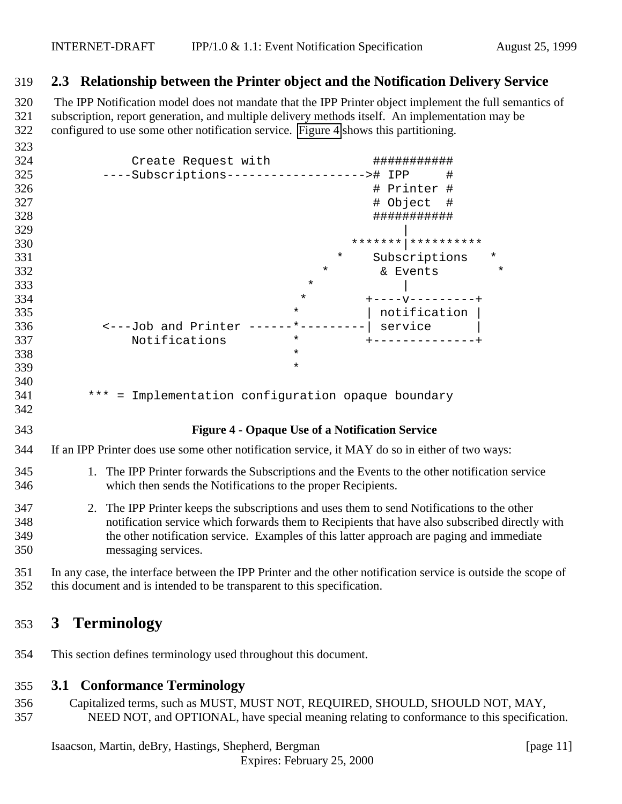### <span id="page-10-0"></span>**2.3 Relationship between the Printer object and the Notification Delivery Service**

320 The IPP Notification model does not mandate that the IPP Printer object implement the full semantics of subscription, report generation, and multiple delivery methods itself. An implementation may be configured to use some other notification service. Figure 4 shows this partitioning.

| 323 |                                                            |          |                           |
|-----|------------------------------------------------------------|----------|---------------------------|
| 324 | Create Request with                                        |          | ###########               |
| 325 | ----Subscriptions--------------------># IPP                |          | #                         |
| 326 |                                                            |          | # Printer #               |
| 327 |                                                            |          | Object<br>#<br>#          |
| 328 |                                                            |          | ###########               |
| 329 |                                                            |          |                           |
| 330 |                                                            |          |                           |
| 331 |                                                            | $\star$  | $^\star$<br>Subscriptions |
| 332 |                                                            | $^\star$ | $\star$<br>& Events       |
| 333 |                                                            | $^\star$ |                           |
| 334 |                                                            | $\star$  | $+ - - - - - - - - - - +$ |
| 335 |                                                            | $^\star$ | notification              |
| 336 | <---Job and Printer                                        | $*$ $-$  | service                   |
| 337 | Notifications                                              | $\star$  |                           |
| 338 |                                                            | $\star$  |                           |
| 339 |                                                            | $\star$  |                           |
| 340 |                                                            |          |                           |
| 341 | ***<br>Implementation configuration opaque boundary<br>$=$ |          |                           |
| 342 |                                                            |          |                           |

### **Figure 4 - Opaque Use of a Notification Service**

- If an IPP Printer does use some other notification service, it MAY do so in either of two ways:
- 1. The IPP Printer forwards the Subscriptions and the Events to the other notification service which then sends the Notifications to the proper Recipients.
- 2. The IPP Printer keeps the subscriptions and uses them to send Notifications to the other notification service which forwards them to Recipients that have also subscribed directly with the other notification service. Examples of this latter approach are paging and immediate messaging services.
- In any case, the interface between the IPP Printer and the other notification service is outside the scope of this document and is intended to be transparent to this specification.

# **3 Terminology**

This section defines terminology used throughout this document.

### **3.1 Conformance Terminology**

 Capitalized terms, such as MUST, MUST NOT, REQUIRED, SHOULD, SHOULD NOT, MAY, NEED NOT, and OPTIONAL, have special meaning relating to conformance to this specification.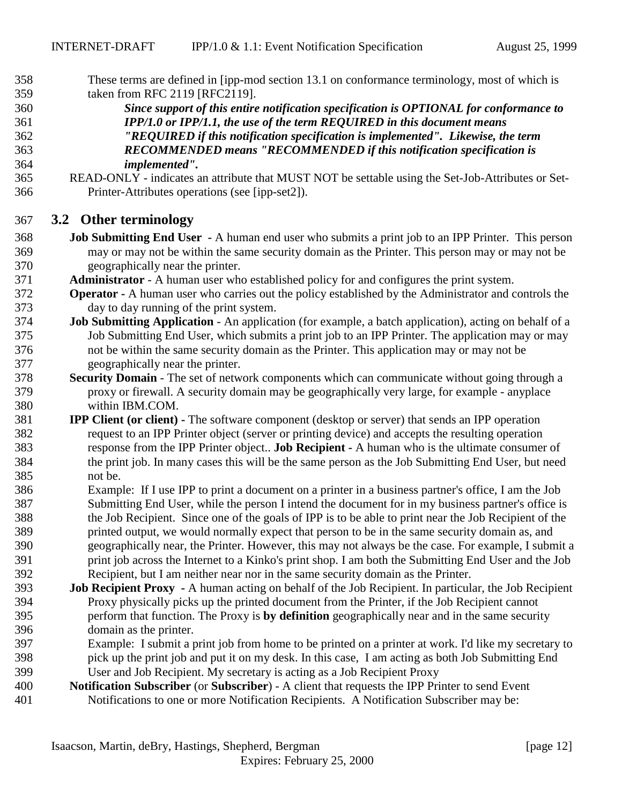<span id="page-11-0"></span> These terms are defined in [ipp-mod section 13.1 on conformance terminology, most of which is taken from RFC 2119 [RFC2119].

- *Since support of this entire notification specification is OPTIONAL for conformance to IPP/1.0 or IPP/1.1, the use of the term REQUIRED in this document means "REQUIRED if this notification specification is implemented". Likewise, the term RECOMMENDED means "RECOMMENDED if this notification specification is implemented".*
- READ-ONLY indicates an attribute that MUST NOT be settable using the Set-Job-Attributes or Set-Printer-Attributes operations (see [ipp-set2]).

### **3.2 Other terminology**

- **Job Submitting End User** A human end user who submits a print job to an IPP Printer. This person may or may not be within the same security domain as the Printer. This person may or may not be geographically near the printer.
- **Administrator**  A human user who established policy for and configures the print system.
- **Operator** A human user who carries out the policy established by the Administrator and controls the day to day running of the print system.
- **Job Submitting Application** An application (for example, a batch application), acting on behalf of a Job Submitting End User, which submits a print job to an IPP Printer. The application may or may not be within the same security domain as the Printer. This application may or may not be geographically near the printer.
- **Security Domain** The set of network components which can communicate without going through a proxy or firewall. A security domain may be geographically very large, for example - anyplace within IBM.COM.
- **IPP Client (or client)** The software component (desktop or server) that sends an IPP operation request to an IPP Printer object (server or printing device) and accepts the resulting operation response from the IPP Printer object.. **Job Recipient -** A human who is the ultimate consumer of the print job. In many cases this will be the same person as the Job Submitting End User, but need not be.
- Example: If I use IPP to print a document on a printer in a business partner's office, I am the Job Submitting End User, while the person I intend the document for in my business partner's office is the Job Recipient. Since one of the goals of IPP is to be able to print near the Job Recipient of the printed output, we would normally expect that person to be in the same security domain as, and geographically near, the Printer. However, this may not always be the case. For example, I submit a print job across the Internet to a Kinko's print shop. I am both the Submitting End User and the Job
- Recipient, but I am neither near nor in the same security domain as the Printer.
- **Job Recipient Proxy** A human acting on behalf of the Job Recipient. In particular, the Job Recipient Proxy physically picks up the printed document from the Printer, if the Job Recipient cannot perform that function. The Proxy is **by definition** geographically near and in the same security domain as the printer.
- Example: I submit a print job from home to be printed on a printer at work. I'd like my secretary to pick up the print job and put it on my desk. In this case, I am acting as both Job Submitting End User and Job Recipient. My secretary is acting as a Job Recipient Proxy
- **Notification Subscriber** (or **Subscriber**) A client that requests the IPP Printer to send Event Notifications to one or more Notification Recipients. A Notification Subscriber may be: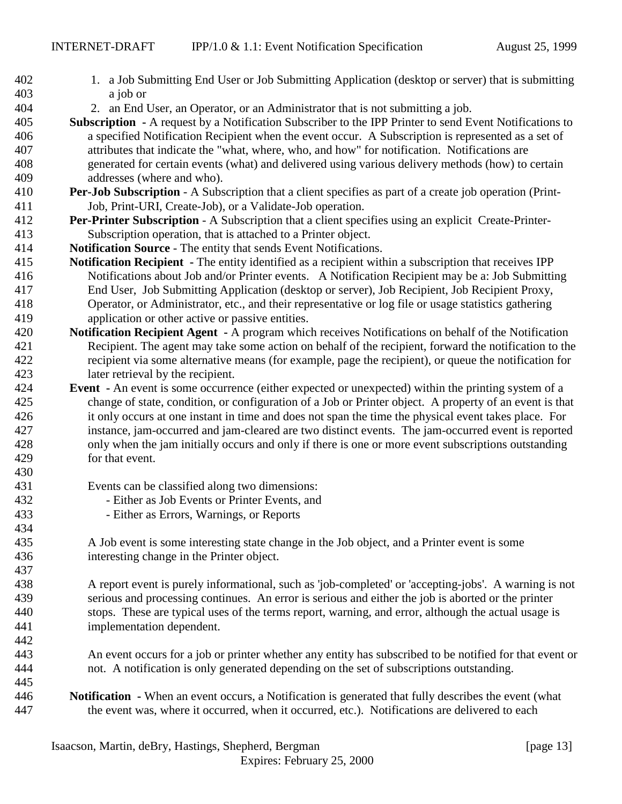- 1. a Job Submitting End User or Job Submitting Application (desktop or server) that is submitting a job or
- 2. an End User, an Operator, or an Administrator that is not submitting a job.
- **Subscription** A request by a Notification Subscriber to the IPP Printer to send Event Notifications to a specified Notification Recipient when the event occur. A Subscription is represented as a set of attributes that indicate the "what, where, who, and how" for notification. Notifications are generated for certain events (what) and delivered using various delivery methods (how) to certain addresses (where and who).
- **Per-Job Subscription** A Subscription that a client specifies as part of a create job operation (Print-Job, Print-URI, Create-Job), or a Validate-Job operation.
- **Per-Printer Subscription** A Subscription that a client specifies using an explicit Create-Printer-Subscription operation, that is attached to a Printer object.
- **Notification Source** The entity that sends Event Notifications.
- **Notification Recipient** The entity identified as a recipient within a subscription that receives IPP Notifications about Job and/or Printer events. A Notification Recipient may be a: Job Submitting End User, Job Submitting Application (desktop or server), Job Recipient, Job Recipient Proxy, Operator, or Administrator, etc., and their representative or log file or usage statistics gathering application or other active or passive entities.
- **Notification Recipient Agent** A program which receives Notifications on behalf of the Notification Recipient. The agent may take some action on behalf of the recipient, forward the notification to the recipient via some alternative means (for example, page the recipient), or queue the notification for later retrieval by the recipient.
- **Event** An event is some occurrence (either expected or unexpected) within the printing system of a change of state, condition, or configuration of a Job or Printer object. A property of an event is that it only occurs at one instant in time and does not span the time the physical event takes place. For instance, jam-occurred and jam-cleared are two distinct events. The jam-occurred event is reported only when the jam initially occurs and only if there is one or more event subscriptions outstanding for that event.
- Events can be classified along two dimensions:

- Either as Job Events or Printer Events, and
- Either as Errors, Warnings, or Reports
- A Job event is some interesting state change in the Job object, and a Printer event is some interesting change in the Printer object.
- A report event is purely informational, such as 'job-completed' or 'accepting-jobs'. A warning is not serious and processing continues. An error is serious and either the job is aborted or the printer stops. These are typical uses of the terms report, warning, and error, although the actual usage is implementation dependent.
- An event occurs for a job or printer whether any entity has subscribed to be notified for that event or not. A notification is only generated depending on the set of subscriptions outstanding.
- **Notification** When an event occurs, a Notification is generated that fully describes the event (what the event was, where it occurred, when it occurred, etc.). Notifications are delivered to each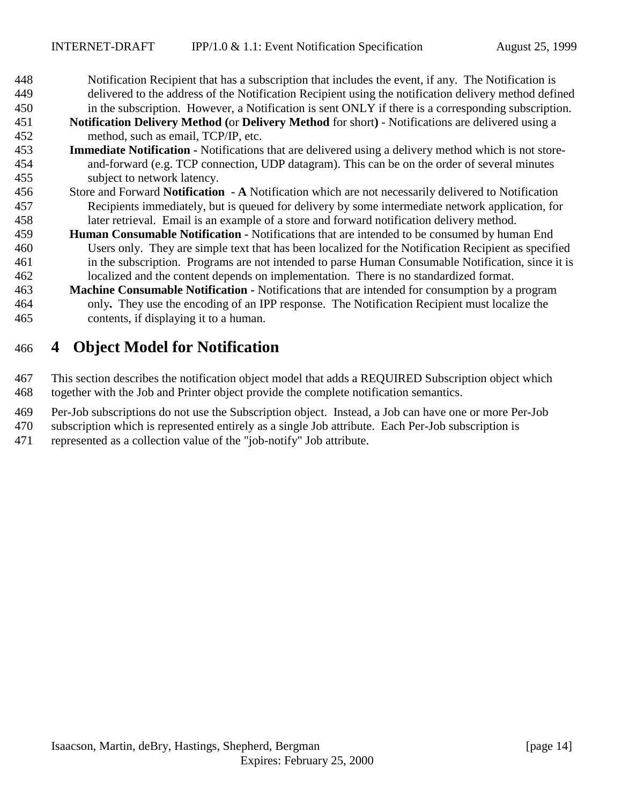<span id="page-13-0"></span> Notification Recipient that has a subscription that includes the event, if any. The Notification is delivered to the address of the Notification Recipient using the notification delivery method defined

 in the subscription. However, a Notification is sent ONLY if there is a corresponding subscription. **Notification Delivery Method (**or **Delivery Method** for short**)** - Notifications are delivered using a

method, such as email, TCP/IP, etc.

- **Immediate Notification** Notifications that are delivered using a delivery method which is not store- and-forward (e.g. TCP connection, UDP datagram). This can be on the order of several minutes subject to network latency.
- Store and Forward **Notification A** Notification which are not necessarily delivered to Notification Recipients immediately, but is queued for delivery by some intermediate network application, for later retrieval. Email is an example of a store and forward notification delivery method.
- **Human Consumable Notification** Notifications that are intended to be consumed by human End Users only. They are simple text that has been localized for the Notification Recipient as specified in the subscription. Programs are not intended to parse Human Consumable Notification, since it is localized and the content depends on implementation. There is no standardized format.
- **Machine Consumable Notification** Notifications that are intended for consumption by a program only**.** They use the encoding of an IPP response. The Notification Recipient must localize the contents, if displaying it to a human.

# **4 Object Model for Notification**

 This section describes the notification object model that adds a REQUIRED Subscription object which together with the Job and Printer object provide the complete notification semantics.

- Per-Job subscriptions do not use the Subscription object. Instead, a Job can have one or more Per-Job
- subscription which is represented entirely as a single Job attribute. Each Per-Job subscription is
- represented as a collection value of the "job-notify" Job attribute.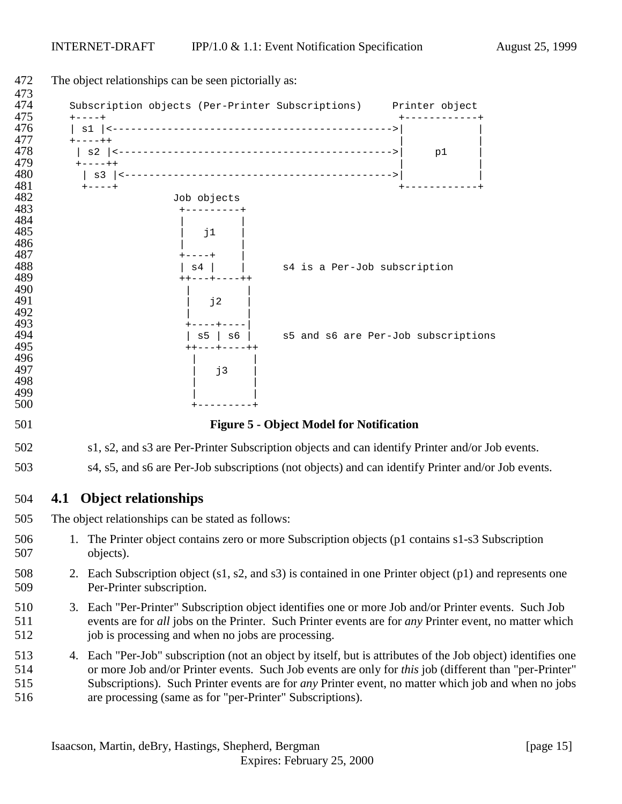<span id="page-14-0"></span>

|     | The object relationships can be seen pictorially as:                                                         |    |  |
|-----|--------------------------------------------------------------------------------------------------------------|----|--|
|     | Subscription objects (Per-Printer Subscriptions) Printer object                                              |    |  |
|     | $+ - - - +$                                                                                                  |    |  |
|     | $+ - - - + +$                                                                                                |    |  |
|     |                                                                                                              | p1 |  |
|     | $+ - - - + +$                                                                                                |    |  |
|     | $+ - - - - +$                                                                                                |    |  |
|     | Job objects                                                                                                  |    |  |
|     |                                                                                                              |    |  |
|     | j1                                                                                                           |    |  |
|     |                                                                                                              |    |  |
|     | s4 is a Per-Job subscription<br>$s4$                                                                         |    |  |
|     |                                                                                                              |    |  |
|     | j2                                                                                                           |    |  |
|     |                                                                                                              |    |  |
|     |                                                                                                              |    |  |
|     | s5 and s6 are Per-Job subscriptions<br>$s5$   $s6$  <br>++---+----++                                         |    |  |
|     |                                                                                                              |    |  |
|     | j3                                                                                                           |    |  |
|     |                                                                                                              |    |  |
|     |                                                                                                              |    |  |
|     | <b>Figure 5 - Object Model for Notification</b>                                                              |    |  |
|     | s1, s2, and s3 are Per-Printer Subscription objects and can identify Printer and/or Job events.              |    |  |
|     | s4, s5, and s6 are Per-Job subscriptions (not objects) and can identify Printer and/or Job events.           |    |  |
| 4.1 | <b>Object relationships</b>                                                                                  |    |  |
|     | The object relationships can be stated as follows:                                                           |    |  |
|     | 1. The Printer object contains zero or more Subscription objects (p1 contains s1-s3 Subscription             |    |  |
|     | objects).                                                                                                    |    |  |
|     | 2. Each Subscription object (s1, s2, and s3) is contained in one Printer object (p1) and represents one      |    |  |
|     | Per-Printer subscription.                                                                                    |    |  |
|     | 3. Each "Per-Printer" Subscription object identifies one or more Job and/or Printer events. Such Job         |    |  |
|     | events are for all jobs on the Printer. Such Printer events are for any Printer event, no matter which       |    |  |
|     | job is processing and when no jobs are processing.                                                           |    |  |
|     | 4. Each "Per-Job" subscription (not an object by itself, but is attributes of the Job object) identifies one |    |  |
|     | or more Job and/or Printer events. Such Job events are only for this job (different than "per-Printer"       |    |  |
|     | Subscriptions). Such Printer events are for <i>any</i> Printer event, no matter which job and when no jobs   |    |  |
|     | are processing (same as for "per-Printer" Subscriptions).                                                    |    |  |
|     |                                                                                                              |    |  |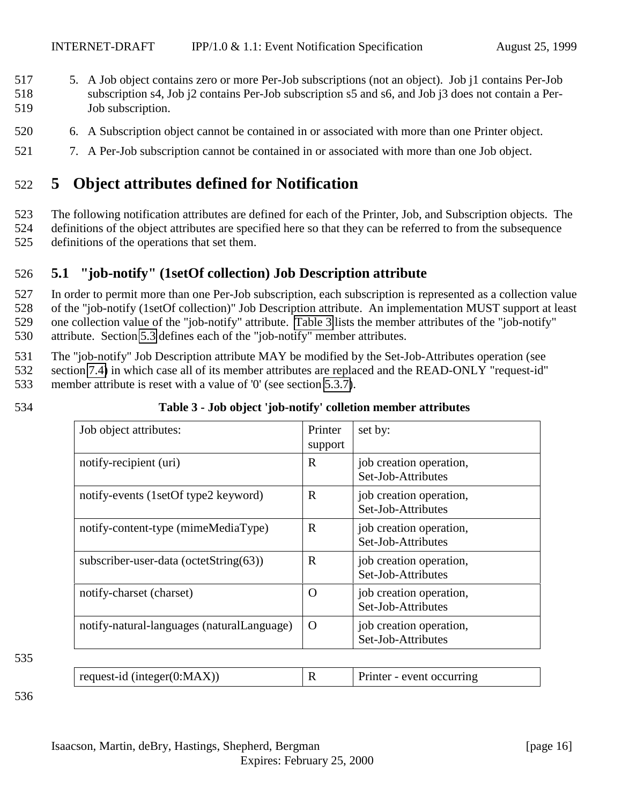- <span id="page-15-0"></span>517 5. A Job object contains zero or more Per-Job subscriptions (not an object). Job j1 contains Per-Job 518 subscription s4, Job j2 contains Per-Job subscription s5 and s6, and Job j3 does not contain a Per-519 Job subscription.
- 520 6. A Subscription object cannot be contained in or associated with more than one Printer object.
- 521 7. A Per-Job subscription cannot be contained in or associated with more than one Job object.

# 522 **5 Object attributes defined for Notification**

523 The following notification attributes are defined for each of the Printer, Job, and Subscription objects. The 524 definitions of the object attributes are specified here so that they can be referred to from the subsequence

525 definitions of the operations that set them.

### 526 **5.1 "job-notify" (1setOf collection) Job Description attribute**

 In order to permit more than one Per-Job subscription, each subscription is represented as a collection value of the "job-notify (1setOf collection)" Job Description attribute. An implementation MUST support at least one collection value of the "job-notify" attribute. Table 3 lists the member attributes of the "job-notify" attribute. Section [5.3](#page-16-0) defines each of the "job-notify" member attributes.

531 The "job-notify" Job Description attribute MAY be modified by the Set-Job-Attributes operation (see

532 section [7.4\)](#page-30-0) in which case all of its member attributes are replaced and the READ-ONLY "request-id"

533 member attribute is reset with a value of '0' (see section [5.3.7\)](#page-20-0).

| I<br>×<br>۰. | I<br>٠<br>v |  |
|--------------|-------------|--|

### 534 **Table 3 - Job object 'job-notify' colletion member attributes**

| R<br>job creation operation,<br>Set-Job-Attributes |
|----------------------------------------------------|
| R<br>job creation operation,<br>Set-Job-Attributes |
| R<br>job creation operation,<br>Set-Job-Attributes |
| R<br>job creation operation,<br>Set-Job-Attributes |
| job creation operation,<br>O<br>Set-Job-Attributes |
| job creation operation,<br>O<br>Set-Job-Attributes |
|                                                    |

535

| request-id (integer( $0$ :MAX)) |  | Printer - event occurring |
|---------------------------------|--|---------------------------|
|---------------------------------|--|---------------------------|

536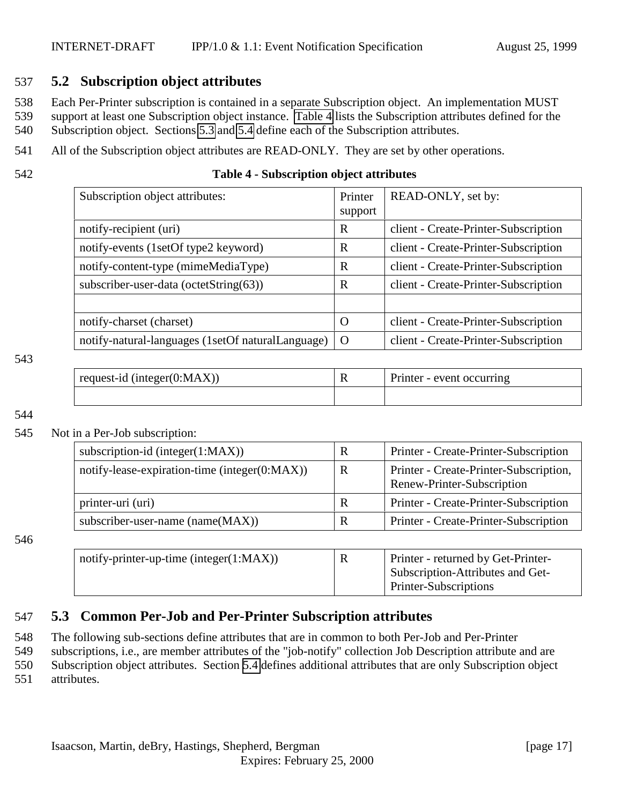### <span id="page-16-0"></span>537 **5.2 Subscription object attributes**

538 Each Per-Printer subscription is contained in a separate Subscription object. An implementation MUST

539 support at least one Subscription object instance. Table 4 lists the Subscription attributes defined for the

540 Subscription object. Sections 5.3 and [5.4](#page-21-0) define each of the Subscription attributes.

- 541 All of the Subscription object attributes are READ-ONLY. They are set by other operations.
- 

### 542 **Table 4 - Subscription object attributes**

| Subscription object attributes:                   | Printer<br>support | READ-ONLY, set by:                   |
|---------------------------------------------------|--------------------|--------------------------------------|
| notify-recipient (uri)                            | $\mathbf R$        | client - Create-Printer-Subscription |
| notify-events (1setOf type2 keyword)              | R                  | client - Create-Printer-Subscription |
| notify-content-type (mimeMediaType)               | R                  | client - Create-Printer-Subscription |
| subscriber-user-data (octetString(63))            | R                  | client - Create-Printer-Subscription |
|                                                   |                    |                                      |
| notify-charset (charset)                          | $\Omega$           | client - Create-Printer-Subscription |
| notify-natural-languages (1setOf naturalLanguage) | $\Omega$           | client - Create-Printer-Subscription |

#### 543

| request-id (integer $(0:MAX)$ ) | Printer - event occurring |  |
|---------------------------------|---------------------------|--|
|                                 |                           |  |

544

#### 545 Not in a Per-Job subscription:

| subscription-id (integer $(1:MAX)$ )              | R | Printer - Create-Printer-Subscription                                |
|---------------------------------------------------|---|----------------------------------------------------------------------|
| notify-lease-expiration-time (integer $(0:MAX)$ ) | R | Printer - Create-Printer-Subscription,<br>Renew-Printer-Subscription |
| printer-uri (uri)                                 | R | Printer - Create-Printer-Subscription                                |
| subscriber-user-name (name(MAX))                  | R | Printer - Create-Printer-Subscription                                |

546

| notify-printer-up-time (integer $(1:MAX)$ ) | $\mathbb{R}$ | Printer - returned by Get-Printer- |
|---------------------------------------------|--------------|------------------------------------|
|                                             |              | Subscription-Attributes and Get-   |
|                                             |              | Printer-Subscriptions              |

### 547 **5.3 Common Per-Job and Per-Printer Subscription attributes**

548 The following sub-sections define attributes that are in common to both Per-Job and Per-Printer

549 subscriptions, i.e., are member attributes of the "job-notify" collection Job Description attribute and are

550 Subscription object attributes. Section [5.4](#page-21-0) defines additional attributes that are only Subscription object

551 attributes.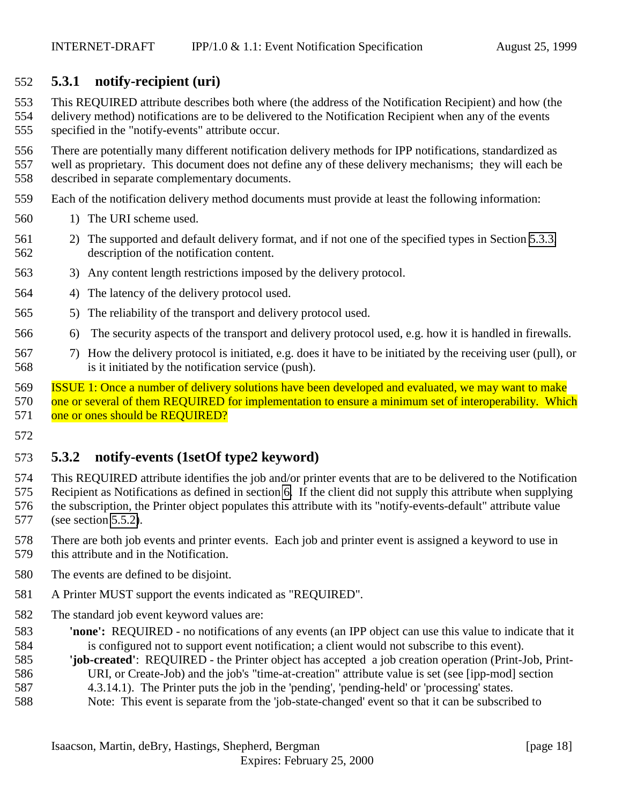### <span id="page-17-0"></span>**5.3.1 notify-recipient (uri)**

 This REQUIRED attribute describes both where (the address of the Notification Recipient) and how (the delivery method) notifications are to be delivered to the Notification Recipient when any of the events specified in the "notify-events" attribute occur.

 There are potentially many different notification delivery methods for IPP notifications, standardized as well as proprietary. This document does not define any of these delivery mechanisms; they will each be described in separate complementary documents.

- Each of the notification delivery method documents must provide at least the following information:
- 1) The URI scheme used.
- 2) The supported and default delivery format, and if not one of the specified types in Section [5.3.3,](#page-20-0) description of the notification content.
- 3) Any content length restrictions imposed by the delivery protocol.
- 4) The latency of the delivery protocol used.
- 5) The reliability of the transport and delivery protocol used.
- 6) The security aspects of the transport and delivery protocol used, e.g. how it is handled in firewalls.
- 7) How the delivery protocol is initiated, e.g. does it have to be initiated by the receiving user (pull), or is it initiated by the notification service (push).

 ISSUE 1: Once a number of delivery solutions have been developed and evaluated, we may want to make 570 one or several of them REQUIRED for implementation to ensure a minimum set of interoperability. Which 571 one or ones should be REQUIRED?

### **5.3.2 notify-events (1setOf type2 keyword)**

 This REQUIRED attribute identifies the job and/or printer events that are to be delivered to the Notification Recipient as Notifications as defined in section [6.](#page-24-0) If the client did not supply this attribute when supplying the subscription, the Printer object populates this attribute with its "notify-events-default" attribute value (see section [5.5.2\)](#page-23-0).

- There are both job events and printer events. Each job and printer event is assigned a keyword to use in this attribute and in the Notification.
- The events are defined to be disjoint.
- A Printer MUST support the events indicated as "REQUIRED".
- The standard job event keyword values are:
- **'none':** REQUIRED no notifications of any events (an IPP object can use this value to indicate that it is configured not to support event notification; a client would not subscribe to this event).
- **'job-created'**: REQUIRED the Printer object has accepted a job creation operation (Print-Job, Print-URI, or Create-Job) and the job's "time-at-creation" attribute value is set (see [ipp-mod] section
- 
- 4.3.14.1). The Printer puts the job in the 'pending', 'pending-held' or 'processing' states.
- Note: This event is separate from the 'job-state-changed' event so that it can be subscribed to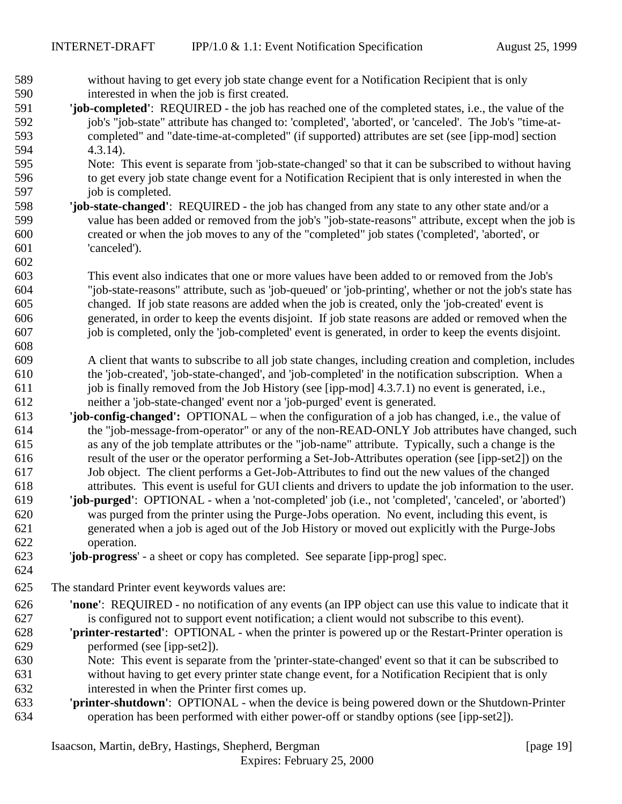without having to get every job state change event for a Notification Recipient that is only

| 590 | interested in when the job is first created.                                                              |
|-----|-----------------------------------------------------------------------------------------------------------|
| 591 | 'job-completed': REQUIRED - the job has reached one of the completed states, i.e., the value of the       |
| 592 | job's "job-state" attribute has changed to: 'completed', 'aborted', or 'canceled'. The Job's "time-at-    |
| 593 | completed" and "date-time-at-completed" (if supported) attributes are set (see [ipp-mod] section          |
| 594 | $4.3.14$ ).                                                                                               |
| 595 | Note: This event is separate from 'job-state-changed' so that it can be subscribed to without having      |
| 596 | to get every job state change event for a Notification Recipient that is only interested in when the      |
| 597 | job is completed.                                                                                         |
| 598 | 'job-state-changed': REQUIRED - the job has changed from any state to any other state and/or a            |
| 599 | value has been added or removed from the job's "job-state-reasons" attribute, except when the job is      |
| 600 | created or when the job moves to any of the "completed" job states ('completed', 'aborted', or            |
| 601 | 'canceled').                                                                                              |
|     |                                                                                                           |
| 602 |                                                                                                           |
| 603 | This event also indicates that one or more values have been added to or removed from the Job's            |
| 604 | "job-state-reasons" attribute, such as 'job-queued' or 'job-printing', whether or not the job's state has |
| 605 | changed. If job state reasons are added when the job is created, only the 'job-created' event is          |
| 606 | generated, in order to keep the events disjoint. If job state reasons are added or removed when the       |
| 607 | job is completed, only the 'job-completed' event is generated, in order to keep the events disjoint.      |
| 608 |                                                                                                           |
| 609 | A client that wants to subscribe to all job state changes, including creation and completion, includes    |
| 610 | the 'job-created', 'job-state-changed', and 'job-completed' in the notification subscription. When a      |
| 611 | job is finally removed from the Job History (see [ipp-mod] 4.3.7.1) no event is generated, i.e.,          |
| 612 | neither a 'job-state-changed' event nor a 'job-purged' event is generated.                                |
| 613 | 'job-config-changed': OPTIONAL - when the configuration of a job has changed, i.e., the value of          |
| 614 | the "job-message-from-operator" or any of the non-READ-ONLY Job attributes have changed, such             |
| 615 | as any of the job template attributes or the "job-name" attribute. Typically, such a change is the        |
| 616 | result of the user or the operator performing a Set-Job-Attributes operation (see [ipp-set2]) on the      |
| 617 | Job object. The client performs a Get-Job-Attributes to find out the new values of the changed            |
| 618 | attributes. This event is useful for GUI clients and drivers to update the job information to the user.   |
| 619 | 'job-purged': OPTIONAL - when a 'not-completed' job (i.e., not 'completed', 'canceled', or 'aborted')     |
| 620 | was purged from the printer using the Purge-Jobs operation. No event, including this event, is            |
| 621 | generated when a job is aged out of the Job History or moved out explicitly with the Purge-Jobs           |
| 622 | operation.                                                                                                |
| 623 | 'job-progress' - a sheet or copy has completed. See separate [ipp-prog] spec.                             |
| 624 |                                                                                                           |
| 625 | The standard Printer event keywords values are:                                                           |
| 626 | 'none': REQUIRED - no notification of any events (an IPP object can use this value to indicate that it    |
|     |                                                                                                           |
| 627 | is configured not to support event notification; a client would not subscribe to this event).             |
| 628 | 'printer-restarted': OPTIONAL - when the printer is powered up or the Restart-Printer operation is        |
| 629 | performed (see [ipp-set2]).                                                                               |
| 630 | Note: This event is separate from the 'printer-state-changed' event so that it can be subscribed to       |
| 631 | without having to get every printer state change event, for a Notification Recipient that is only         |
| 632 | interested in when the Printer first comes up.                                                            |
| 633 | 'printer-shutdown': OPTIONAL - when the device is being powered down or the Shutdown-Printer              |
| 634 | operation has been performed with either power-off or standby options (see [ipp-set2]).                   |
|     |                                                                                                           |
|     | Isaacson, Martin, deBry, Hastings, Shepherd, Bergman<br>[page $19$ ]                                      |
|     | Expires: February 25, 2000                                                                                |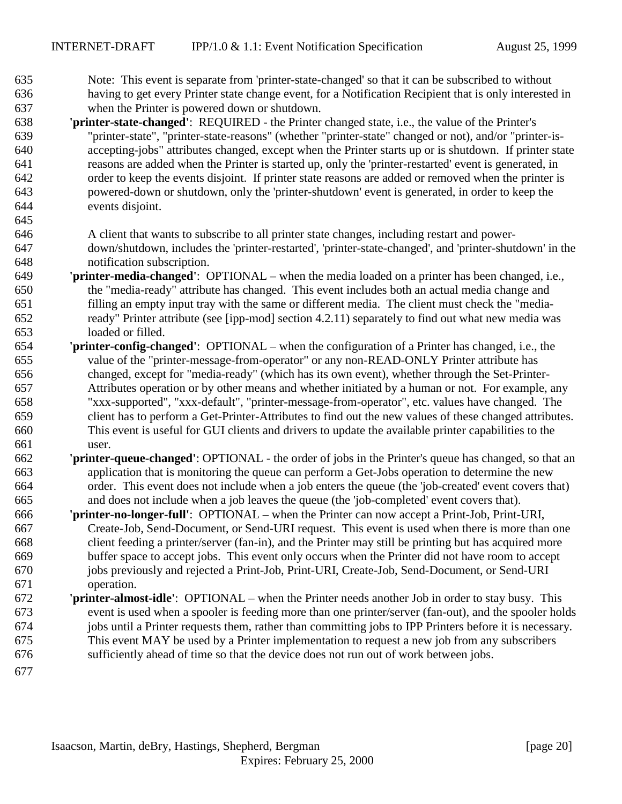- Note: This event is separate from 'printer-state-changed' so that it can be subscribed to without having to get every Printer state change event, for a Notification Recipient that is only interested in when the Printer is powered down or shutdown.
- **'printer-state-changed'**: REQUIRED the Printer changed state, i.e., the value of the Printer's "printer-state", "printer-state-reasons" (whether "printer-state" changed or not), and/or "printer-is- accepting-jobs" attributes changed, except when the Printer starts up or is shutdown. If printer state reasons are added when the Printer is started up, only the 'printer-restarted' event is generated, in order to keep the events disjoint. If printer state reasons are added or removed when the printer is powered-down or shutdown, only the 'printer-shutdown' event is generated, in order to keep the events disjoint.
- 
- A client that wants to subscribe to all printer state changes, including restart and power- down/shutdown, includes the 'printer-restarted', 'printer-state-changed', and 'printer-shutdown' in the notification subscription.
- **'printer-media-changed'**:OPTIONAL when the media loaded on a printer has been changed, i.e., the "media-ready" attribute has changed. This event includes both an actual media change and filling an empty input tray with the same or different media. The client must check the "media- ready" Printer attribute (see [ipp-mod] section 4.2.11) separately to find out what new media was loaded or filled.
- **'printer-config-changed'**:OPTIONAL when the configuration of a Printer has changed, i.e., the value of the "printer-message-from-operator" or any non-READ-ONLY Printer attribute has changed, except for "media-ready" (which has its own event), whether through the Set-Printer- Attributes operation or by other means and whether initiated by a human or not. For example, any "xxx-supported", "xxx-default", "printer-message-from-operator", etc. values have changed. The client has to perform a Get-Printer-Attributes to find out the new values of these changed attributes. This event is useful for GUI clients and drivers to update the available printer capabilities to the user.
- **'printer-queue-changed'**: OPTIONAL the order of jobs in the Printer's queue has changed, so that an application that is monitoring the queue can perform a Get-Jobs operation to determine the new order. This event does not include when a job enters the queue (the 'job-created' event covers that) and does not include when a job leaves the queue (the 'job-completed' event covers that).
- **'printer-no-longer-full'**: OPTIONAL when the Printer can now accept a Print-Job, Print-URI, Create-Job, Send-Document, or Send-URI request. This event is used when there is more than one client feeding a printer/server (fan-in), and the Printer may still be printing but has acquired more buffer space to accept jobs. This event only occurs when the Printer did not have room to accept jobs previously and rejected a Print-Job, Print-URI, Create-Job, Send-Document, or Send-URI operation.
- **'printer-almost-idle'**:OPTIONAL when the Printer needs another Job in order to stay busy. This event is used when a spooler is feeding more than one printer/server (fan-out), and the spooler holds jobs until a Printer requests them, rather than committing jobs to IPP Printers before it is necessary. This event MAY be used by a Printer implementation to request a new job from any subscribers sufficiently ahead of time so that the device does not run out of work between jobs.
-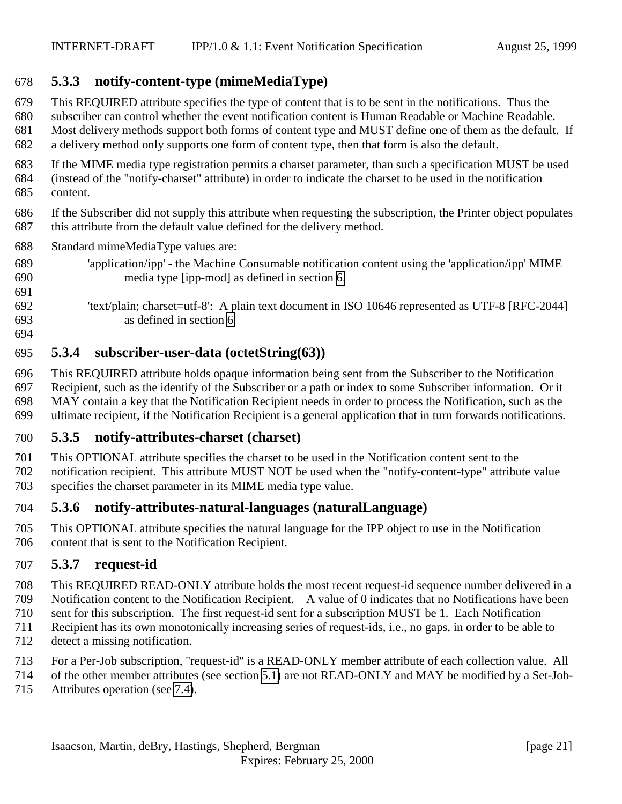### <span id="page-20-0"></span>**5.3.3 notify-content-type (mimeMediaType)**

- This REQUIRED attribute specifies the type of content that is to be sent in the notifications. Thus the
- subscriber can control whether the event notification content is Human Readable or Machine Readable.
- Most delivery methods support both forms of content type and MUST define one of them as the default. If
- a delivery method only supports one form of content type, then that form is also the default.
- If the MIME media type registration permits a charset parameter, than such a specification MUST be used (instead of the "notify-charset" attribute) in order to indicate the charset to be used in the notification
- content.
- If the Subscriber did not supply this attribute when requesting the subscription, the Printer object populates this attribute from the default value defined for the delivery method.
- Standard mimeMediaType values are:
- 'application/ipp' the Machine Consumable notification content using the 'application/ipp' MIME media type [ipp-mod] as defined in section [6.](#page-24-0)
- 'text/plain; charset=utf-8': A plain text document in ISO 10646 represented as UTF-8 [RFC-2044] as defined in section [6.](#page-24-0)
- 

### **5.3.4 subscriber-user-data (octetString(63))**

 This REQUIRED attribute holds opaque information being sent from the Subscriber to the Notification Recipient, such as the identify of the Subscriber or a path or index to some Subscriber information. Or it MAY contain a key that the Notification Recipient needs in order to process the Notification, such as the ultimate recipient, if the Notification Recipient is a general application that in turn forwards notifications.

### **5.3.5 notify-attributes-charset (charset)**

 This OPTIONAL attribute specifies the charset to be used in the Notification content sent to the notification recipient. This attribute MUST NOT be used when the "notify-content-type" attribute value specifies the charset parameter in its MIME media type value.

### **5.3.6 notify-attributes-natural-languages (naturalLanguage)**

 This OPTIONAL attribute specifies the natural language for the IPP object to use in the Notification content that is sent to the Notification Recipient.

### **5.3.7 request-id**

- This REQUIRED READ-ONLY attribute holds the most recent request-id sequence number delivered in a
- Notification content to the Notification Recipient. A value of 0 indicates that no Notifications have been
- sent for this subscription. The first request-id sent for a subscription MUST be 1. Each Notification
- Recipient has its own monotonically increasing series of request-ids, i.e., no gaps, in order to be able to
- detect a missing notification.
- For a Per-Job subscription, "request-id" is a READ-ONLY member attribute of each collection value. All
- of the other member attributes (see section [5.1\)](#page-15-0) are not READ-ONLY and MAY be modified by a Set-Job-
- Attributes operation (see [7.4\)](#page-30-0).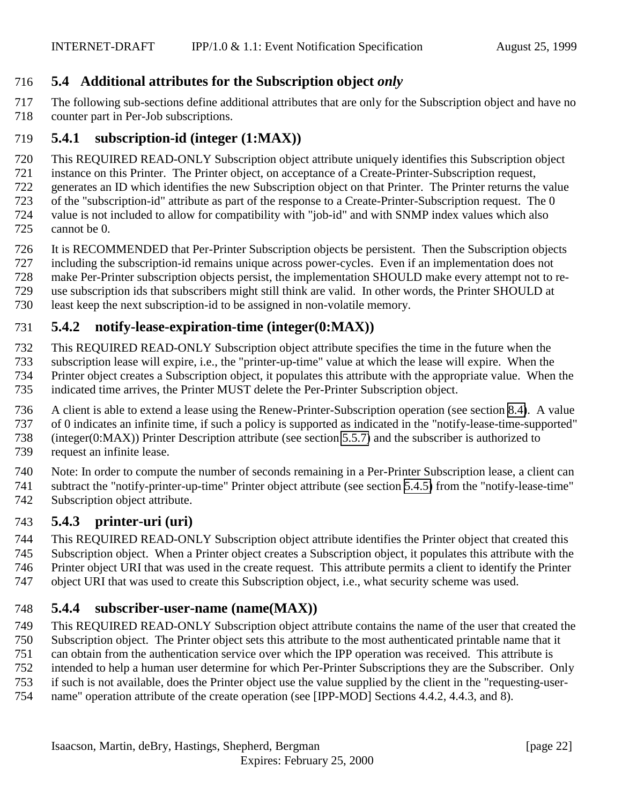### <span id="page-21-0"></span>**5.4 Additional attributes for the Subscription object** *only*

 The following sub-sections define additional attributes that are only for the Subscription object and have no counter part in Per-Job subscriptions.

### **5.4.1 subscription-id (integer (1:MAX))**

This REQUIRED READ-ONLY Subscription object attribute uniquely identifies this Subscription object

instance on this Printer. The Printer object, on acceptance of a Create-Printer-Subscription request,

generates an ID which identifies the new Subscription object on that Printer. The Printer returns the value

of the "subscription-id" attribute as part of the response to a Create-Printer-Subscription request. The 0

 value is not included to allow for compatibility with "job-id" and with SNMP index values which also cannot be 0.

It is RECOMMENDED that Per-Printer Subscription objects be persistent. Then the Subscription objects

including the subscription-id remains unique across power-cycles. Even if an implementation does not

make Per-Printer subscription objects persist, the implementation SHOULD make every attempt not to re-

use subscription ids that subscribers might still think are valid. In other words, the Printer SHOULD at

least keep the next subscription-id to be assigned in non-volatile memory.

# **5.4.2 notify-lease-expiration-time (integer(0:MAX))**

This REQUIRED READ-ONLY Subscription object attribute specifies the time in the future when the

subscription lease will expire, i.e., the "printer-up-time" value at which the lease will expire. When the

Printer object creates a Subscription object, it populates this attribute with the appropriate value. When the

indicated time arrives, the Printer MUST delete the Per-Printer Subscription object.

 A client is able to extend a lease using the Renew-Printer-Subscription operation (see section [8.4\)](#page-34-0). A value of 0 indicates an infinite time, if such a policy is supported as indicated in the "notify-lease-time-supported"

(integer(0:MAX)) Printer Description attribute (see section [5.5.7\)](#page-23-0) and the subscriber is authorized to

request an infinite lease.

 Note: In order to compute the number of seconds remaining in a Per-Printer Subscription lease, a client can subtract the "notify-printer-up-time" Printer object attribute (see section [5.4.5\)](#page-22-0) from the "notify-lease-time"

Subscription object attribute.

# **5.4.3 printer-uri (uri)**

This REQUIRED READ-ONLY Subscription object attribute identifies the Printer object that created this

Subscription object. When a Printer object creates a Subscription object, it populates this attribute with the

Printer object URI that was used in the create request. This attribute permits a client to identify the Printer

object URI that was used to create this Subscription object, i.e., what security scheme was used.

# **5.4.4 subscriber-user-name (name(MAX))**

 This REQUIRED READ-ONLY Subscription object attribute contains the name of the user that created the Subscription object. The Printer object sets this attribute to the most authenticated printable name that it

can obtain from the authentication service over which the IPP operation was received. This attribute is

intended to help a human user determine for which Per-Printer Subscriptions they are the Subscriber. Only

if such is not available, does the Printer object use the value supplied by the client in the "requesting-user-

name" operation attribute of the create operation (see [IPP-MOD] Sections 4.4.2, 4.4.3, and 8).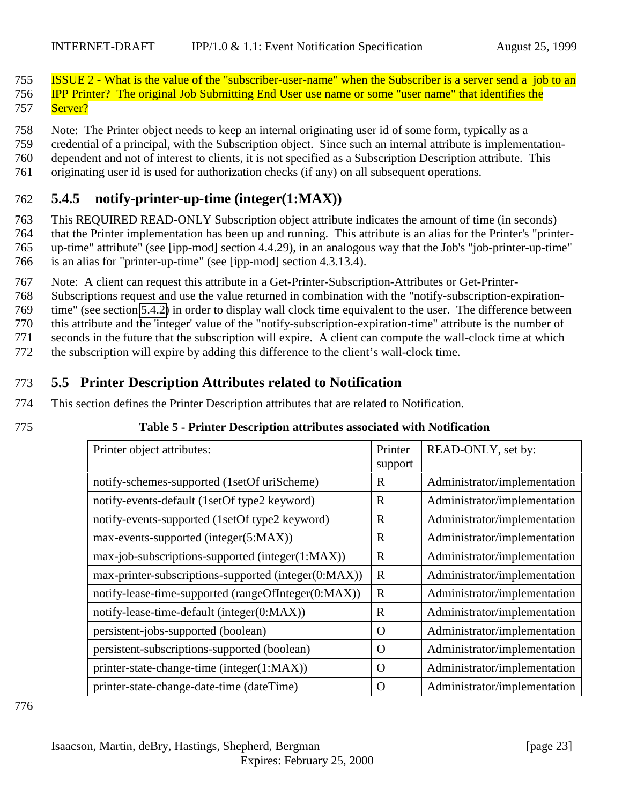<span id="page-22-0"></span>755 ISSUE 2 - What is the value of the "subscriber-user-name" when the Subscriber is a server send a job to an 756 IPP Printer? The original Job Submitting End User use name or some "user name" that identifies the 757 Server?

758 Note: The Printer object needs to keep an internal originating user id of some form, typically as a

759 credential of a principal, with the Subscription object. Since such an internal attribute is implementation-

760 dependent and not of interest to clients, it is not specified as a Subscription Description attribute. This

761 originating user id is used for authorization checks (if any) on all subsequent operations.

### 762 **5.4.5 notify-printer-up-time (integer(1:MAX))**

 This REQUIRED READ-ONLY Subscription object attribute indicates the amount of time (in seconds) that the Printer implementation has been up and running. This attribute is an alias for the Printer's "printer- up-time" attribute" (see [ipp-mod] section 4.4.29), in an analogous way that the Job's "job-printer-up-time" is an alias for "printer-up-time" (see [ipp-mod] section 4.3.13.4).

767 Note: A client can request this attribute in a Get-Printer-Subscription-Attributes or Get-Printer-

768 Subscriptions request and use the value returned in combination with the "notify-subscription-expiration-

769 time" (see section [5.4.2\)](#page-21-0) in order to display wall clock time equivalent to the user. The difference between

770 this attribute and the 'integer' value of the "notify-subscription-expiration-time" attribute is the number of

771 seconds in the future that the subscription will expire. A client can compute the wall-clock time at which

772 the subscription will expire by adding this difference to the client's wall-clock time.

### 773 **5.5 Printer Description Attributes related to Notification**

774 This section defines the Printer Description attributes that are related to Notification.

|  | × |
|--|---|

### 775 **Table 5 - Printer Description attributes associated with Notification**

| Printer object attributes:                           | Printer<br>support | READ-ONLY, set by:           |
|------------------------------------------------------|--------------------|------------------------------|
| notify-schemes-supported (1setOf uriScheme)          | $\mathbf R$        | Administrator/implementation |
| notify-events-default (1setOf type2 keyword)         | $\mathbf R$        | Administrator/implementation |
| notify-events-supported (1setOf type2 keyword)       | $\mathbf R$        | Administrator/implementation |
| max-events-supported (integer(5:MAX))                | $\mathbf R$        | Administrator/implementation |
| max-job-subscriptions-supported (integer(1:MAX))     | $\mathbf R$        | Administrator/implementation |
| max-printer-subscriptions-supported (integer(0:MAX)) | $\mathbf R$        | Administrator/implementation |
| notify-lease-time-supported (rangeOfInteger(0:MAX))  | $\mathbf R$        | Administrator/implementation |
| notify-lease-time-default (integer(0:MAX))           | $\mathbf R$        | Administrator/implementation |
| persistent-jobs-supported (boolean)                  | $\Omega$           | Administrator/implementation |
| persistent-subscriptions-supported (boolean)         | $\Omega$           | Administrator/implementation |
| printer-state-change-time (integer(1:MAX))           | $\overline{O}$     | Administrator/implementation |
| printer-state-change-date-time (dateTime)            | $\mathbf O$        | Administrator/implementation |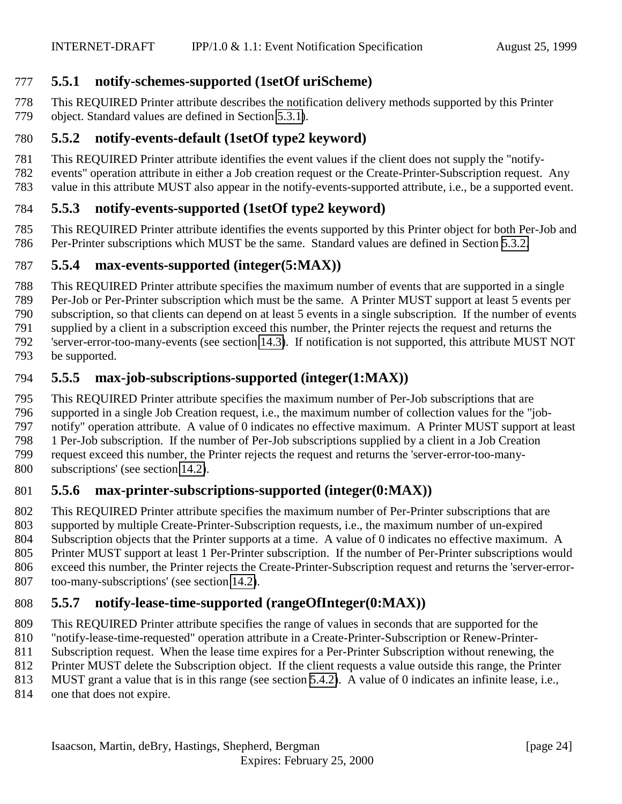### <span id="page-23-0"></span>**5.5.1 notify-schemes-supported (1setOf uriScheme)**

 This REQUIRED Printer attribute describes the notification delivery methods supported by this Printer object. Standard values are defined in Section [5.3.1\)](#page-17-0).

### **5.5.2 notify-events-default (1setOf type2 keyword)**

This REQUIRED Printer attribute identifies the event values if the client does not supply the "notify-

events" operation attribute in either a Job creation request or the Create-Printer-Subscription request. Any

value in this attribute MUST also appear in the notify-events-supported attribute, i.e., be a supported event.

# **5.5.3 notify-events-supported (1setOf type2 keyword)**

 This REQUIRED Printer attribute identifies the events supported by this Printer object for both Per-Job and Per-Printer subscriptions which MUST be the same. Standard values are defined in Section [5.3.2.](#page-17-0)

# **5.5.4 max-events-supported (integer(5:MAX))**

 This REQUIRED Printer attribute specifies the maximum number of events that are supported in a single Per-Job or Per-Printer subscription which must be the same. A Printer MUST support at least 5 events per subscription, so that clients can depend on at least 5 events in a single subscription. If the number of events supplied by a client in a subscription exceed this number, the Printer rejects the request and returns the

'server-error-too-many-events (see section [14.3\)](#page-38-0). If notification is not supported, this attribute MUST NOT

be supported.

### **5.5.5 max-job-subscriptions-supported (integer(1:MAX))**

 This REQUIRED Printer attribute specifies the maximum number of Per-Job subscriptions that are supported in a single Job Creation request, i.e., the maximum number of collection values for the "job- notify" operation attribute. A value of 0 indicates no effective maximum. A Printer MUST support at least 1 Per-Job subscription. If the number of Per-Job subscriptions supplied by a client in a Job Creation request exceed this number, the Printer rejects the request and returns the 'server-error-too-many-subscriptions' (see section [14.2\)](#page-38-0).

# **5.5.6 max-printer-subscriptions-supported (integer(0:MAX))**

 This REQUIRED Printer attribute specifies the maximum number of Per-Printer subscriptions that are supported by multiple Create-Printer-Subscription requests, i.e., the maximum number of un-expired Subscription objects that the Printer supports at a time. A value of 0 indicates no effective maximum. A Printer MUST support at least 1 Per-Printer subscription. If the number of Per-Printer subscriptions would exceed this number, the Printer rejects the Create-Printer-Subscription request and returns the 'server-error-too-many-subscriptions' (see section [14.2\)](#page-38-0).

### **5.5.7 notify-lease-time-supported (rangeOfInteger(0:MAX))**

This REQUIRED Printer attribute specifies the range of values in seconds that are supported for the

"notify-lease-time-requested" operation attribute in a Create-Printer-Subscription or Renew-Printer-

Subscription request. When the lease time expires for a Per-Printer Subscription without renewing, the

Printer MUST delete the Subscription object. If the client requests a value outside this range, the Printer

MUST grant a value that is in this range (see section [5.4.2\)](#page-21-0). A value of 0 indicates an infinite lease, i.e.,

814 one that does not expire.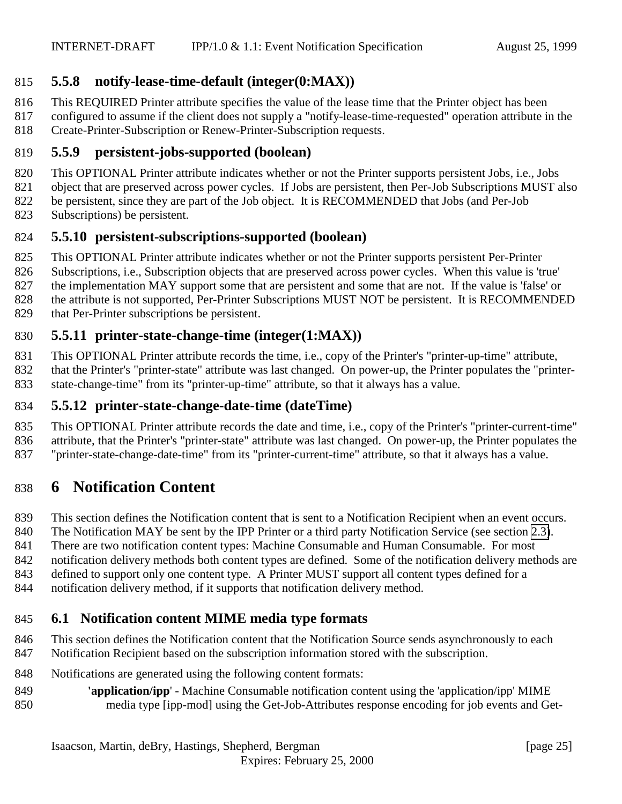### <span id="page-24-0"></span>**5.5.8 notify-lease-time-default (integer(0:MAX))**

- This REQUIRED Printer attribute specifies the value of the lease time that the Printer object has been
- configured to assume if the client does not supply a "notify-lease-time-requested" operation attribute in the
- Create-Printer-Subscription or Renew-Printer-Subscription requests.

### **5.5.9 persistent-jobs-supported (boolean)**

- This OPTIONAL Printer attribute indicates whether or not the Printer supports persistent Jobs, i.e., Jobs
- object that are preserved across power cycles. If Jobs are persistent, then Per-Job Subscriptions MUST also
- be persistent, since they are part of the Job object. It is RECOMMENDED that Jobs (and Per-Job
- Subscriptions) be persistent.

# **5.5.10 persistent-subscriptions-supported (boolean)**

- This OPTIONAL Printer attribute indicates whether or not the Printer supports persistent Per-Printer
- Subscriptions, i.e., Subscription objects that are preserved across power cycles. When this value is 'true'
- the implementation MAY support some that are persistent and some that are not. If the value is 'false' or
- the attribute is not supported, Per-Printer Subscriptions MUST NOT be persistent. It is RECOMMENDED that Per-Printer subscriptions be persistent.

# **5.5.11 printer-state-change-time (integer(1:MAX))**

- This OPTIONAL Printer attribute records the time, i.e., copy of the Printer's "printer-up-time" attribute,
- 832 that the Printer's "printer-state" attribute was last changed. On power-up, the Printer populates the "printer-
- state-change-time" from its "printer-up-time" attribute, so that it always has a value.

### **5.5.12 printer-state-change-date-time (dateTime)**

- This OPTIONAL Printer attribute records the date and time, i.e., copy of the Printer's "printer-current-time" attribute, that the Printer's "printer-state" attribute was last changed. On power-up, the Printer populates the
- "printer-state-change-date-time" from its "printer-current-time" attribute, so that it always has a value.

# **6 Notification Content**

- This section defines the Notification content that is sent to a Notification Recipient when an event occurs.
- The Notification MAY be sent by the IPP Printer or a third party Notification Service (see section [2.3\)](#page-10-0).
- There are two notification content types: Machine Consumable and Human Consumable. For most
- notification delivery methods both content types are defined. Some of the notification delivery methods are
- 843 defined to support only one content type. A Printer MUST support all content types defined for a
- notification delivery method, if it supports that notification delivery method.

# **6.1 Notification content MIME media type formats**

- This section defines the Notification content that the Notification Source sends asynchronously to each
- Notification Recipient based on the subscription information stored with the subscription.
- Notifications are generated using the following content formats:
- **'application/ipp**' Machine Consumable notification content using the 'application/ipp' MIME media type [ipp-mod] using the Get-Job-Attributes response encoding for job events and Get-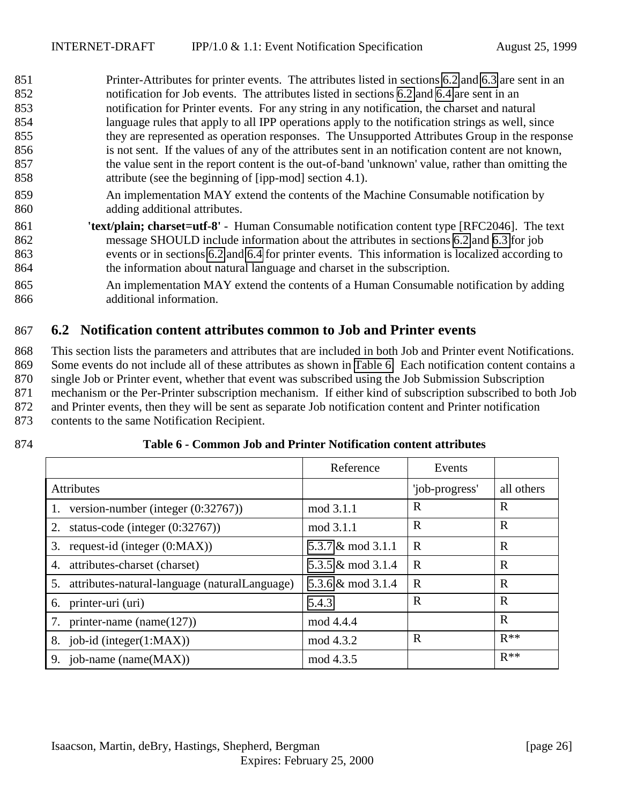<span id="page-25-0"></span> Printer-Attributes for printer events. The attributes listed in sections 6.2 and [6.3](#page-27-0) are sent in an notification for Job events. The attributes listed in sections 6.2 and [6.4](#page-27-0) are sent in an notification for Printer events. For any string in any notification, the charset and natural language rules that apply to all IPP operations apply to the notification strings as well, since they are represented as operation responses. The Unsupported Attributes Group in the response is not sent. If the values of any of the attributes sent in an notification content are not known, the value sent in the report content is the out-of-band 'unknown' value, rather than omitting the attribute (see the beginning of [ipp-mod] section 4.1).

- An implementation MAY extend the contents of the Machine Consumable notification by adding additional attributes.
- **'text/plain; charset=utf-8'** Human Consumable notification content type [RFC2046]. The text message SHOULD include information about the attributes in sections [6.2](#page-27-0) and [6.3](#page-27-0) for job events or in sections 6.2 and [6.4](#page-27-0) for printer events. This information is localized according to the information about natural language and charset in the subscription.
- An implementation MAY extend the contents of a Human Consumable notification by adding additional information.

### **6.2 Notification content attributes common to Job and Printer events**

 This section lists the parameters and attributes that are included in both Job and Printer event Notifications. Some events do not include all of these attributes as shown in Table 6. Each notification content contains a single Job or Printer event, whether that event was subscribed using the Job Submission Subscription mechanism or the Per-Printer subscription mechanism. If either kind of subscription subscribed to both Job and Printer events, then they will be sent as separate Job notification content and Printer notification contents to the same Notification Recipient.

#### **Table 6 - Common Job and Printer Notification content attributes**

|                                                     | Reference         | Events         |             |
|-----------------------------------------------------|-------------------|----------------|-------------|
| <b>Attributes</b>                                   |                   | 'job-progress' | all others  |
| version-number (integer $(0.32767)$ )               | mod 3.1.1         | R              | R           |
| 2.<br>status-code (integer $(0.32767)$ )            | mod 3.1.1         | $\mathbf R$    | $\mathbf R$ |
| 3.<br>request-id (integer $(0:MAX)$ )               | 5.3.7 & mod 3.1.1 | $\mathbf R$    | R           |
| attributes-charset (charset)<br>4.                  | 5.3.5 & mod 3.1.4 | $\mathbf R$    | $\mathbf R$ |
| 5.<br>attributes-natural-language (naturalLanguage) | 5.3.6 & mod 3.1.4 | $\mathbf R$    | $\mathbf R$ |
| printer-uri (uri)<br>6.                             | 5.4.3             | $\mathbf R$    | $\mathbf R$ |
| printer-name (name $(127)$ )<br>7.                  | mod 4.4.4         |                | R           |
| 8. job-id (integer $(1:MAX)$ )                      | mod 4.3.2         | $\mathbf R$    | $R^{**}$    |
| 9. job-name (name(MAX))                             | mod 4.3.5         |                | $R**$       |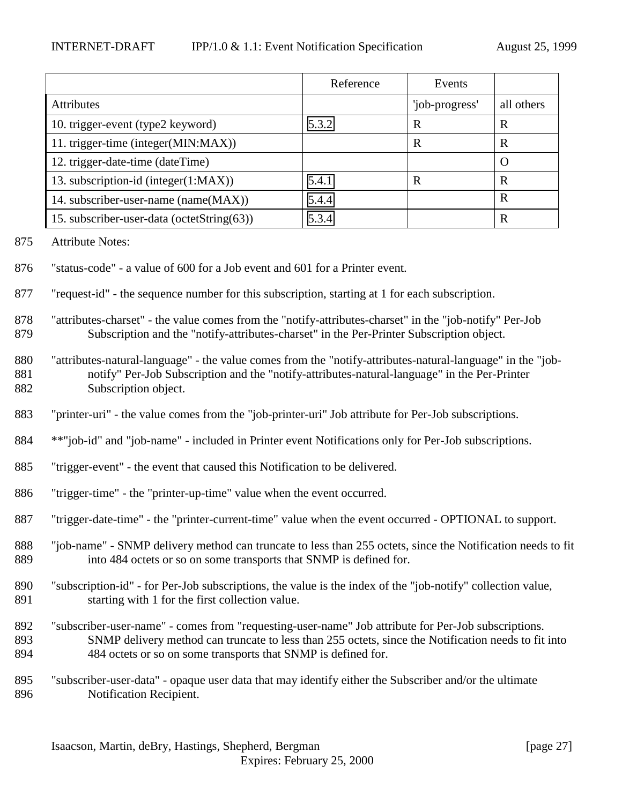|                                            | Reference | Events         |             |
|--------------------------------------------|-----------|----------------|-------------|
| <b>Attributes</b>                          |           | 'job-progress' | all others  |
| 10. trigger-event (type2 keyword)          | 5.3.2     | R              | R           |
| 11. trigger-time (integer(MIN:MAX))        |           | R              | R           |
| 12. trigger-date-time (dateTime)           |           |                | $\bigcirc$  |
| 13. subscription-id (integer(1:MAX))       | 5.4.1     | R              | R           |
| 14. subscriber-user-name (name(MAX))       | 5.4.4     |                | $\mathbf R$ |
| 15. subscriber-user-data (octetString(63)) | 5.3.4     |                | $\bf R$     |

- Attribute Notes:
- "status-code" a value of 600 for a Job event and 601 for a Printer event.

"request-id" - the sequence number for this subscription, starting at 1 for each subscription.

- "attributes-charset" the value comes from the "notify-attributes-charset" in the "job-notify" Per-Job Subscription and the "notify-attributes-charset" in the Per-Printer Subscription object.
- "attributes-natural-language" the value comes from the "notify-attributes-natural-language" in the "job- notify" Per-Job Subscription and the "notify-attributes-natural-language" in the Per-Printer Subscription object.
- "printer-uri" the value comes from the "job-printer-uri" Job attribute for Per-Job subscriptions.
- \*\*"job-id" and "job-name" included in Printer event Notifications only for Per-Job subscriptions.
- "trigger-event" the event that caused this Notification to be delivered.
- "trigger-time" the "printer-up-time" value when the event occurred.
- "trigger-date-time" the "printer-current-time" value when the event occurred OPTIONAL to support.
- "job-name" SNMP delivery method can truncate to less than 255 octets, since the Notification needs to fit into 484 octets or so on some transports that SNMP is defined for.
- "subscription-id" for Per-Job subscriptions, the value is the index of the "job-notify" collection value, starting with 1 for the first collection value.
- "subscriber-user-name" comes from "requesting-user-name" Job attribute for Per-Job subscriptions. SNMP delivery method can truncate to less than 255 octets, since the Notification needs to fit into 894 484 octets or so on some transports that SNMP is defined for.
- "subscriber-user-data" opaque user data that may identify either the Subscriber and/or the ultimate Notification Recipient.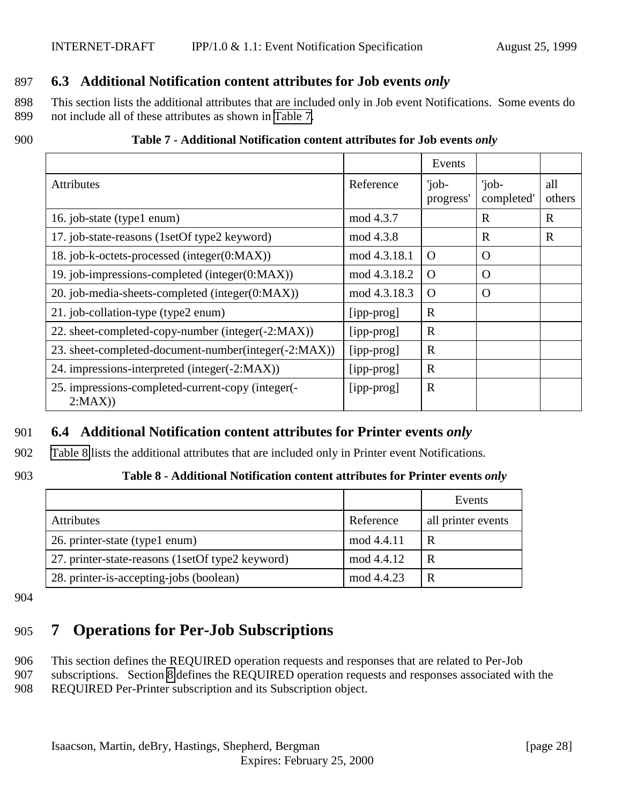### <span id="page-27-0"></span>897 **6.3 Additional Notification content attributes for Job events** *only*

898 This section lists the additional attributes that are included only in Job event Notifications. Some events do 899 not include all of these attributes as shown in Table 7.

#### 900 **Table 7 - Additional Notification content attributes for Job events** *only*

|                                                             |              | Events             |                     |               |
|-------------------------------------------------------------|--------------|--------------------|---------------------|---------------|
| <b>Attributes</b>                                           | Reference    | 'job-<br>progress' | 'job-<br>completed' | all<br>others |
| 16. job-state (type1 enum)                                  | mod 4.3.7    |                    | $\mathbf R$         | $\mathbf R$   |
| 17. job-state-reasons (1setOf type2 keyword)                | mod 4.3.8    |                    | $\mathbf R$         | R             |
| 18. job-k-octets-processed (integer(0:MAX))                 | mod 4.3.18.1 | $\Omega$           | $\Omega$            |               |
| 19. job-impressions-completed (integer(0:MAX))              | mod 4.3.18.2 | $\Omega$           | O                   |               |
| 20. job-media-sheets-completed (integer(0:MAX))             | mod 4.3.18.3 | $\Omega$           | O                   |               |
| 21. job-collation-type (type2 enum)                         | [ipp-prog]   | $\mathbf R$        |                     |               |
| 22. sheet-completed-copy-number (integer(-2:MAX))           | [ipp-prog]   | $\mathbb{R}$       |                     |               |
| 23. sheet-completed-document-number(integer(-2:MAX))        | [ipp-prog]   | $\mathbf R$        |                     |               |
| 24. impressions-interpreted (integer(-2:MAX))               | [ipp-prog]   | $\mathbf R$        |                     |               |
| 25. impressions-completed-current-copy (integer(-<br>2:MAX) | [ipp-prog]   | $\mathbb{R}$       |                     |               |

### 901 **6.4 Additional Notification content attributes for Printer events** *only*

902 Table 8 lists the additional attributes that are included only in Printer event Notifications.

#### 903 **Table 8 - Additional Notification content attributes for Printer events** *only*

|                                                  |            | Events             |
|--------------------------------------------------|------------|--------------------|
| <b>Attributes</b>                                | Reference  | all printer events |
| 26. printer-state (type1 enum)                   | mod 4.4.11 | R                  |
| 27. printer-state-reasons (1setOf type2 keyword) | mod 4.4.12 | R                  |
| 28. printer-is-accepting-jobs (boolean)          | mod 4.4.23 | R                  |

904

# 905 **7 Operations for Per-Job Subscriptions**

906 This section defines the REQUIRED operation requests and responses that are related to Per-Job 907 subscriptions. Section [8](#page-30-0) defines the REQUIRED operation requests and responses associated with the 908 REQUIRED Per-Printer subscription and its Subscription object.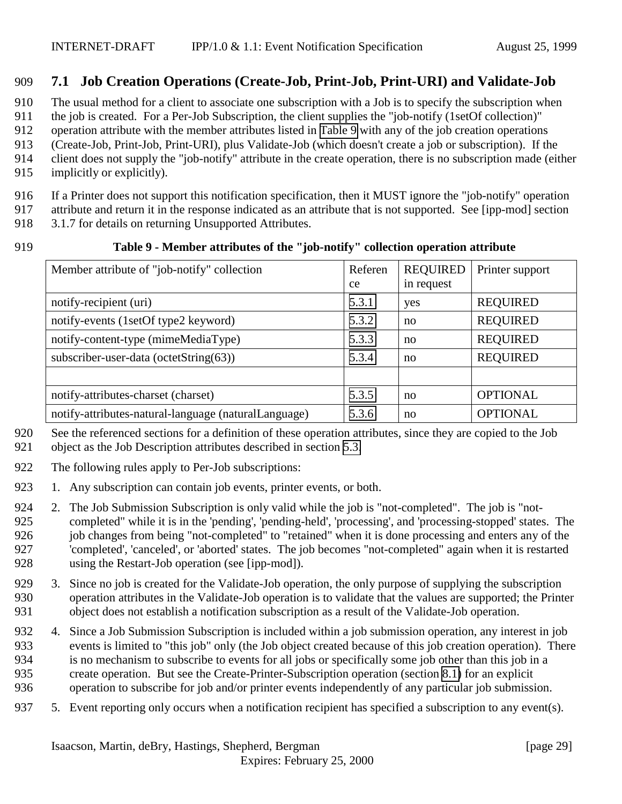### <span id="page-28-0"></span>**7.1 Job Creation Operations (Create-Job, Print-Job, Print-URI) and Validate-Job**

The usual method for a client to associate one subscription with a Job is to specify the subscription when

911 the job is created. For a Per-Job Subscription, the client supplies the "job-notify (1setOf collection)"

operation attribute with the member attributes listed in Table 9 with any of the job creation operations

913 (Create-Job, Print-Job, Print-URI), plus Validate-Job (which doesn't create a job or subscription). If the client does not supply the "iob-notify" attribute in the create operation, there is no subscription made (eit

client does not supply the "job-notify" attribute in the create operation, there is no subscription made (either

implicitly or explicitly).

If a Printer does not support this notification specification, then it MUST ignore the "job-notify" operation

attribute and return it in the response indicated as an attribute that is not supported. See [ipp-mod] section

3.1.7 for details on returning Unsupported Attributes.

### **Table 9 - Member attributes of the "job-notify" collection operation attribute**

| Member attribute of "job-notify" collection          | Referen | <b>REQUIRED</b> | Printer support |
|------------------------------------------------------|---------|-----------------|-----------------|
|                                                      | ce      | in request      |                 |
| notify-recipient (uri)                               | 5.3.1   | yes             | <b>REQUIRED</b> |
| notify-events (1setOf type2 keyword)                 | 5.3.2   | no              | <b>REQUIRED</b> |
| notify-content-type (mimeMediaType)                  | 5.3.3   | no              | <b>REQUIRED</b> |
| subscriber-user-data (octetString(63))               | 5.3.4   | no              | <b>REQUIRED</b> |
|                                                      |         |                 |                 |
| notify-attributes-charset (charset)                  | 5.3.5   | no              | <b>OPTIONAL</b> |
| notify-attributes-natural-language (naturalLanguage) | 5.3.6   | no              | <b>OPTIONAL</b> |

 See the referenced sections for a definition of these operation attributes, since they are copied to the Job object as the Job Description attributes described in section [5.3.](#page-16-0)

- 
- The following rules apply to Per-Job subscriptions:
- 1. Any subscription can contain job events, printer events, or both.
- 2. The Job Submission Subscription is only valid while the job is "not-completed". The job is "not- completed" while it is in the 'pending', 'pending-held', 'processing', and 'processing-stopped' states. The job changes from being "not-completed" to "retained" when it is done processing and enters any of the 'completed', 'canceled', or 'aborted' states. The job becomes "not-completed" again when it is restarted using the Restart-Job operation (see [ipp-mod]).
- 3. Since no job is created for the Validate-Job operation, the only purpose of supplying the subscription operation attributes in the Validate-Job operation is to validate that the values are supported; the Printer object does not establish a notification subscription as a result of the Validate-Job operation.
- 4. Since a Job Submission Subscription is included within a job submission operation, any interest in job events is limited to "this job" only (the Job object created because of this job creation operation). There is no mechanism to subscribe to events for all jobs or specifically some job other than this job in a create operation. But see the Create-Printer-Subscription operation (section [8.1\)](#page-30-0) for an explicit operation to subscribe for job and/or printer events independently of any particular job submission.
- 5. Event reporting only occurs when a notification recipient has specified a subscription to any event(s).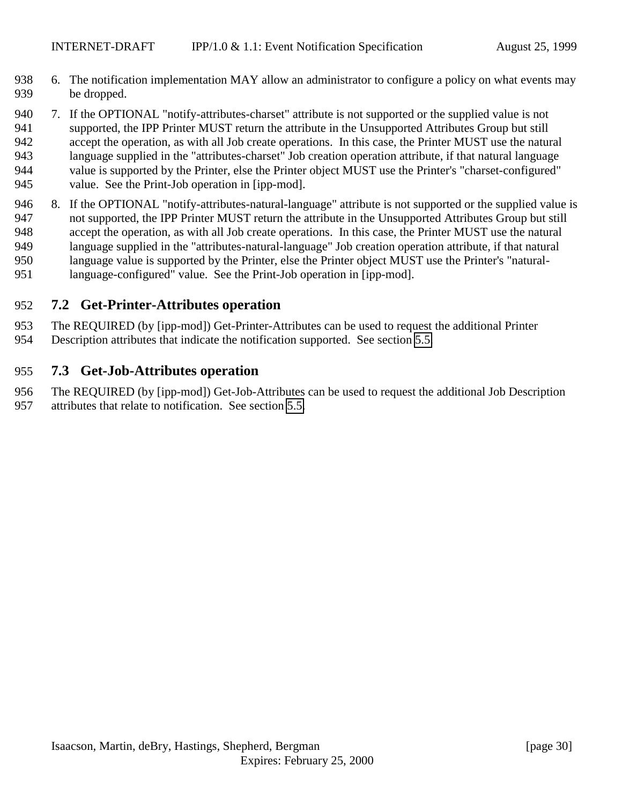- <span id="page-29-0"></span> 6. The notification implementation MAY allow an administrator to configure a policy on what events may be dropped.
- 7. If the OPTIONAL "notify-attributes-charset" attribute is not supported or the supplied value is not supported, the IPP Printer MUST return the attribute in the Unsupported Attributes Group but still accept the operation, as with all Job create operations. In this case, the Printer MUST use the natural language supplied in the "attributes-charset" Job creation operation attribute, if that natural language value is supported by the Printer, else the Printer object MUST use the Printer's "charset-configured" value. See the Print-Job operation in [ipp-mod].
- 8. If the OPTIONAL "notify-attributes-natural-language" attribute is not supported or the supplied value is not supported, the IPP Printer MUST return the attribute in the Unsupported Attributes Group but still accept the operation, as with all Job create operations. In this case, the Printer MUST use the natural language supplied in the "attributes-natural-language" Job creation operation attribute, if that natural language value is supported by the Printer, else the Printer object MUST use the Printer's "natural-language-configured" value. See the Print-Job operation in [ipp-mod].

### **7.2 Get-Printer-Attributes operation**

The REQUIRED (by [ipp-mod]) Get-Printer-Attributes can be used to request the additional Printer

Description attributes that indicate the notification supported. See section [5.5.](#page-22-0)

### **7.3 Get-Job-Attributes operation**

 The REQUIRED (by [ipp-mod]) Get-Job-Attributes can be used to request the additional Job Description attributes that relate to notification. See section [5.5.](#page-22-0)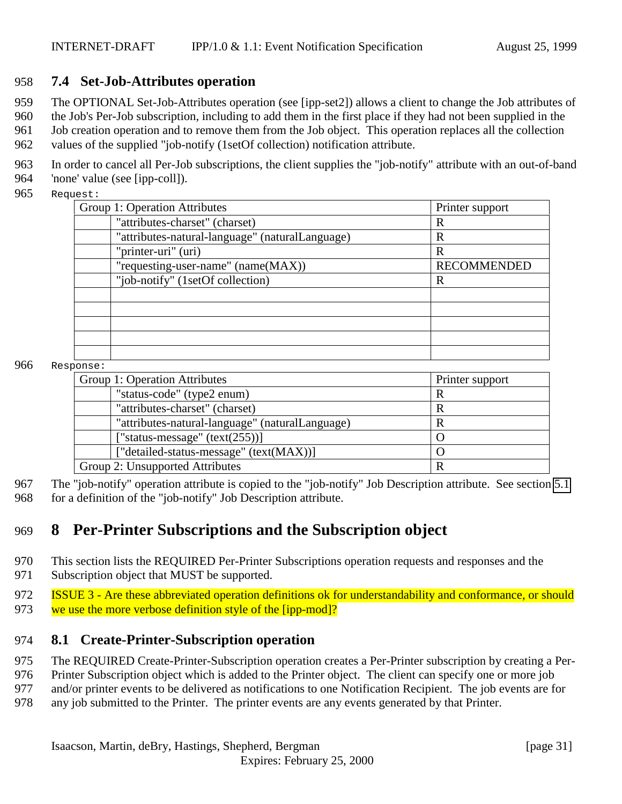### <span id="page-30-0"></span>958 **7.4 Set-Job-Attributes operation**

959 The OPTIONAL Set-Job-Attributes operation (see [ipp-set2]) allows a client to change the Job attributes of

960 the Job's Per-Job subscription, including to add them in the first place if they had not been supplied in the 961 Job creation operation and to remove them from the Job object. This operation replaces all the collection

962 values of the supplied "job-notify (1setOf collection) notification attribute.

963 In order to cancel all Per-Job subscriptions, the client supplies the "job-notify" attribute with an out-of-band 964 'none' value (see [ipp-coll]).

965 Request:

| <b>Group 1: Operation Attributes</b>            | Printer support    |
|-------------------------------------------------|--------------------|
| "attributes-charset" (charset)                  | R                  |
| "attributes-natural-language" (naturalLanguage) | R                  |
| "printer-uri" (uri)                             | R                  |
| "requesting-user-name" (name(MAX))              | <b>RECOMMENDED</b> |
| "job-notify" (1setOf collection)                | R                  |
|                                                 |                    |
|                                                 |                    |
|                                                 |                    |
|                                                 |                    |
|                                                 |                    |

#### 966 Response:

| Group 1: Operation Attributes                   | Printer support |
|-------------------------------------------------|-----------------|
| "status-code" (type2 enum)                      | R               |
| "attributes-charset" (charset)                  | R               |
| "attributes-natural-language" (naturalLanguage) |                 |
| ["status-message" $(text(255))]$                |                 |
| ["detailed-status-message" (text(MAX))]         |                 |
| Group 2: Unsupported Attributes                 | R               |

967 The "job-notify" operation attribute is copied to the "job-notify" Job Description attribute. See section [5.1](#page-15-0) 968 for a definition of the "job-notify" Job Description attribute.

# 969 **8 Per-Printer Subscriptions and the Subscription object**

- 970 This section lists the REQUIRED Per-Printer Subscriptions operation requests and responses and the
- 971 Subscription object that MUST be supported.

972 ISSUE 3 - Are these abbreviated operation definitions ok for understandability and conformance, or should 973 we use the more verbose definition style of the [ipp-mod]?

### 974 **8.1 Create-Printer-Subscription operation**

975 The REQUIRED Create-Printer-Subscription operation creates a Per-Printer subscription by creating a Per-

976 Printer Subscription object which is added to the Printer object. The client can specify one or more job

977 and/or printer events to be delivered as notifications to one Notification Recipient. The job events are for

978 any job submitted to the Printer. The printer events are any events generated by that Printer.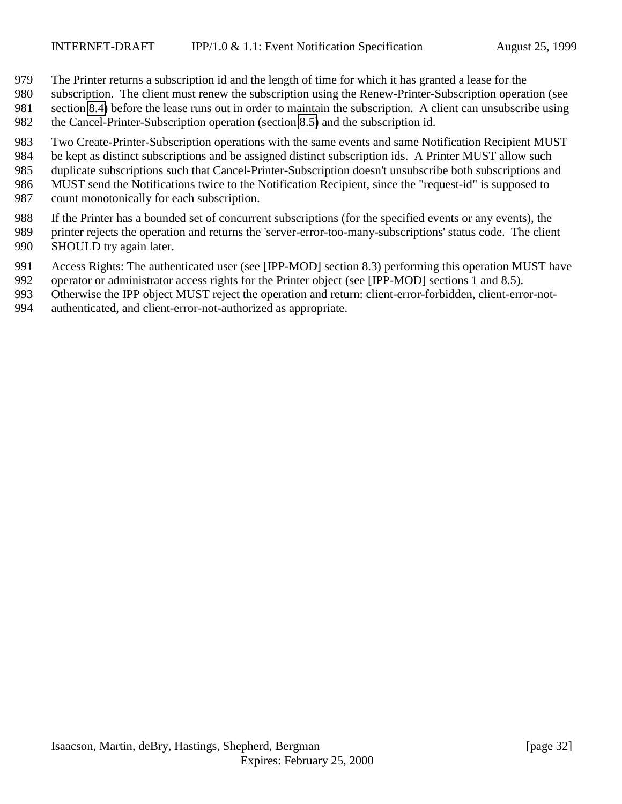- The Printer returns a subscription id and the length of time for which it has granted a lease for the
- subscription. The client must renew the subscription using the Renew-Printer-Subscription operation (see
- section [8.4\)](#page-34-0) before the lease runs out in order to maintain the subscription. A client can unsubscribe using
- the Cancel-Printer-Subscription operation (section [8.5\)](#page-35-0) and the subscription id.
- Two Create-Printer-Subscription operations with the same events and same Notification Recipient MUST
- be kept as distinct subscriptions and be assigned distinct subscription ids. A Printer MUST allow such
- duplicate subscriptions such that Cancel-Printer-Subscription doesn't unsubscribe both subscriptions and
- MUST send the Notifications twice to the Notification Recipient, since the "request-id" is supposed to
- count monotonically for each subscription.
- If the Printer has a bounded set of concurrent subscriptions (for the specified events or any events), the
- printer rejects the operation and returns the 'server-error-too-many-subscriptions' status code. The client
- 990 SHOULD try again later.
- Access Rights: The authenticated user (see [IPP-MOD] section 8.3) performing this operation MUST have
- operator or administrator access rights for the Printer object (see [IPP-MOD] sections 1 and 8.5).
- Otherwise the IPP object MUST reject the operation and return: client-error-forbidden, client-error-not-
- authenticated, and client-error-not-authorized as appropriate.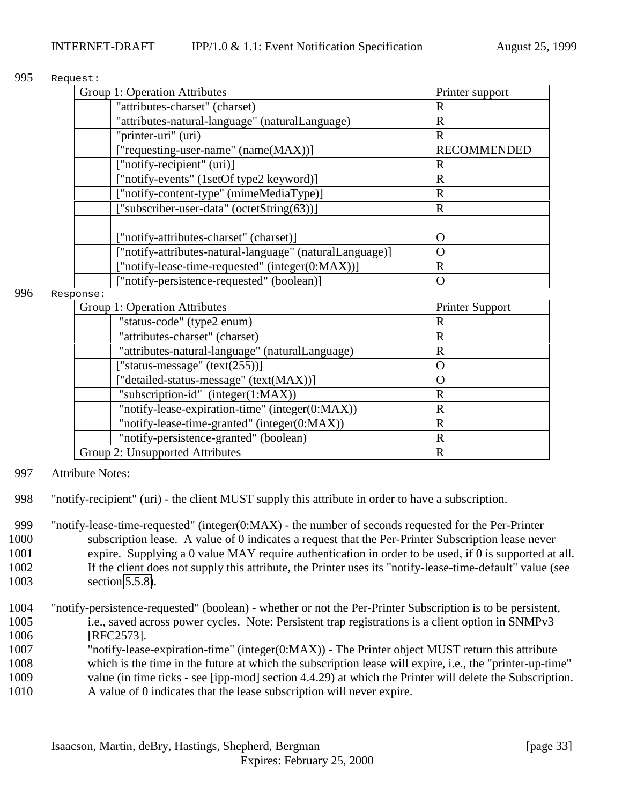#### 995 Request:

| Group 1: Operation Attributes                            | Printer support    |
|----------------------------------------------------------|--------------------|
| "attributes-charset" (charset)                           | R                  |
| "attributes-natural-language" (naturalLanguage)          | R                  |
| "printer-uri" (uri)                                      | R                  |
| ["requesting-user-name" (name(MAX))]                     | <b>RECOMMENDED</b> |
| ["notify-recipient" (uri)]                               | R                  |
| ["notify-events" (1setOf type2 keyword)]                 | R                  |
| ["notify-content-type" (mimeMediaType)]                  | R                  |
| ["subscriber-user-data" (octetString(63))]               | $\mathbf R$        |
|                                                          |                    |
| ["notify-attributes-charset" (charset)]                  | $\Omega$           |
| ["notify-attributes-natural-language" (naturalLanguage)] | $\left( \right)$   |
| ["notify-lease-time-requested" (integer(0:MAX))]         | R                  |
| ["notify-persistence-requested" (boolean)]               | $\left( \right)$   |

#### 996 Response:

| Group 1: Operation Attributes                   | <b>Printer Support</b> |
|-------------------------------------------------|------------------------|
| "status-code" (type2 enum)                      | R                      |
| "attributes-charset" (charset)                  | R                      |
| "attributes-natural-language" (naturalLanguage) | R                      |
| ["status-message" $(text(255))]$                |                        |
| ["detailed-status-message" (text(MAX))]         |                        |
| "subscription-id" (integer(1:MAX))              | R                      |
| "notify-lease-expiration-time" (integer(0:MAX)) | R                      |
| "notify-lease-time-granted" (integer(0:MAX))    | R                      |
| "notify-persistence-granted" (boolean)          | R                      |
| Group 2: Unsupported Attributes                 | R                      |

- 997 Attribute Notes:
- 998 "notify-recipient" (uri) the client MUST supply this attribute in order to have a subscription.

 "notify-lease-time-requested" (integer(0:MAX) - the number of seconds requested for the Per-Printer subscription lease. A value of 0 indicates a request that the Per-Printer Subscription lease never expire. Supplying a 0 value MAY require authentication in order to be used, if 0 is supported at all. If the client does not supply this attribute, the Printer uses its "notify-lease-time-default" value (see section [5.5.8\)](#page-24-0).

- 1004 "notify-persistence-requested" (boolean) whether or not the Per-Printer Subscription is to be persistent, 1005 i.e., saved across power cycles. Note: Persistent trap registrations is a client option in SNMPv3 1006 [RFC2573].
- 1007 "notify-lease-expiration-time" (integer(0:MAX)) The Printer object MUST return this attribute
- 1008 which is the time in the future at which the subscription lease will expire, i.e., the "printer-up-time"
- 1009 value (in time ticks see [ipp-mod] section 4.4.29) at which the Printer will delete the Subscription. 1010 A value of 0 indicates that the lease subscription will never expire.
	-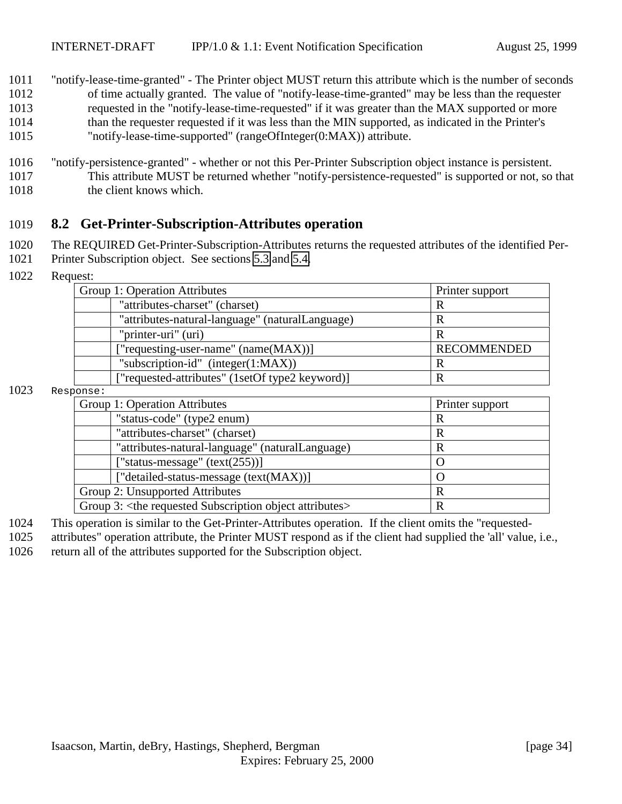- <span id="page-33-0"></span>1011 "notify-lease-time-granted" - The Printer object MUST return this attribute which is the number of seconds 1012 of time actually granted. The value of "notify-lease-time-granted" may be less than the requester 1013 requested in the "notify-lease-time-requested" if it was greater than the MAX supported or more 1014 than the requester requested if it was less than the MIN supported, as indicated in the Printer's 1015 "notify-lease-time-supported" (rangeOfInteger(0:MAX)) attribute.
- 1016 "notify-persistence-granted" whether or not this Per-Printer Subscription object instance is persistent. 1017 This attribute MUST be returned whether "notify-persistence-requested" is supported or not, so that 1018 the client knows which.

### 1019 **8.2 Get-Printer-Subscription-Attributes operation**

- 1020 The REQUIRED Get-Printer-Subscription-Attributes returns the requested attributes of the identified Per-
- 1021 Printer Subscription object. See sections [5.3](#page-16-0) and [5.4.](#page-21-0)
- 1022 Request:

|      | Group 1: Operation Attributes                                             | Printer support    |
|------|---------------------------------------------------------------------------|--------------------|
|      | "attributes-charset" (charset)                                            | R                  |
|      | "attributes-natural-language" (naturalLanguage)                           | R                  |
|      | "printer-uri" (uri)                                                       | R                  |
|      | ["requesting-user-name" (name(MAX))]                                      | <b>RECOMMENDED</b> |
|      | "subscription-id" (integer(1:MAX))                                        | $\mathbb{R}$       |
|      | ["requested-attributes" (1setOf type2 keyword)]                           | R                  |
| 1023 | Response:                                                                 |                    |
|      | Group 1: Operation Attributes                                             | Printer support    |
|      | "status-code" (type2 enum)                                                | R                  |
|      | "attributes-charset" (charset)                                            | $\mathbb{R}$       |
|      | "attributes-natural-language" (naturalLanguage)                           | $\mathbf R$        |
|      | ["status-message" $(text(255))]$                                          | $\Omega$           |
|      | ["detailed-status-message (text(MAX))]                                    | $\Omega$           |
|      | Group 2: Unsupported Attributes                                           | $\mathbf R$        |
|      | Group 3: <the attributes="" object="" requested="" subscription=""></the> | $\mathbf R$        |

1024 This operation is similar to the Get-Printer-Attributes operation. If the client omits the "requested-

1025 attributes" operation attribute, the Printer MUST respond as if the client had supplied the 'all' value, i.e.,

1026 return all of the attributes supported for the Subscription object.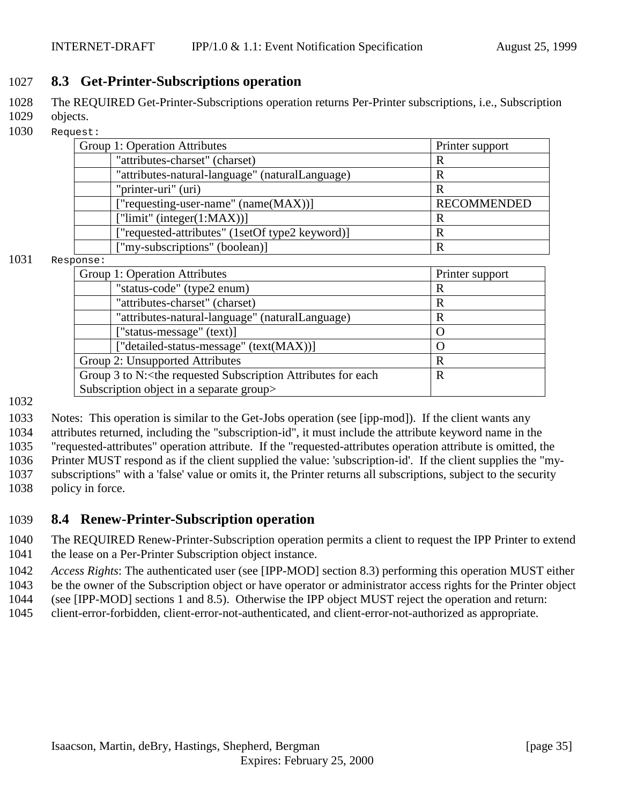### <span id="page-34-0"></span>1027 **8.3 Get-Printer-Subscriptions operation**

- 1028 The REQUIRED Get-Printer-Subscriptions operation returns Per-Printer subscriptions, i.e., Subscription
- 1029 objects.
- 1030 Request:

| Group 1: Operation Attributes                   | Printer support    |
|-------------------------------------------------|--------------------|
| "attributes-charset" (charset)                  | R                  |
| "attributes-natural-language" (naturalLanguage) |                    |
| "printer-uri" (uri)                             |                    |
| ["requesting-user-name" (name(MAX))]            | <b>RECOMMENDED</b> |
| [" $limit$ " (integer( $1:MAX$ )]               |                    |
| ["requested-attributes" (1setOf type2 keyword)] |                    |
| ["my-subscriptions" (boolean)]                  |                    |

#### 1031 Response:

| • סבונט                                                                                              |                 |
|------------------------------------------------------------------------------------------------------|-----------------|
| Group 1: Operation Attributes                                                                        | Printer support |
| "status-code" (type2 enum)                                                                           | R               |
| "attributes-charset" (charset)                                                                       | R               |
| "attributes-natural-language" (naturalLanguage)                                                      | R               |
| ["status-message" (text)]                                                                            | $\Omega$        |
| ["detailed-status-message" (text(MAX))]                                                              | $\Omega$        |
| Group 2: Unsupported Attributes                                                                      | R               |
| Group 3 to N: <the attributes="" each<="" for="" requested="" subscription="" td=""><td>R</td></the> | R               |
| Subscription object in a separate group>                                                             |                 |
|                                                                                                      |                 |

### 1032

 Notes: This operation is similar to the Get-Jobs operation (see [ipp-mod]). If the client wants any attributes returned, including the "subscription-id", it must include the attribute keyword name in the "requested-attributes" operation attribute. If the "requested-attributes operation attribute is omitted, the Printer MUST respond as if the client supplied the value: 'subscription-id'. If the client supplies the "my- subscriptions" with a 'false' value or omits it, the Printer returns all subscriptions, subject to the security policy in force.

### 1039 **8.4 Renew-Printer-Subscription operation**

- 1040 The REQUIRED Renew-Printer-Subscription operation permits a client to request the IPP Printer to extend
- 1041 the lease on a Per-Printer Subscription object instance.
- 1042 *Access Rights*: The authenticated user (see [IPP-MOD] section 8.3) performing this operation MUST either
- 1043 be the owner of the Subscription object or have operator or administrator access rights for the Printer object
- 1044 (see [IPP-MOD] sections 1 and 8.5). Otherwise the IPP object MUST reject the operation and return:
- 1045 client-error-forbidden, client-error-not-authenticated, and client-error-not-authorized as appropriate.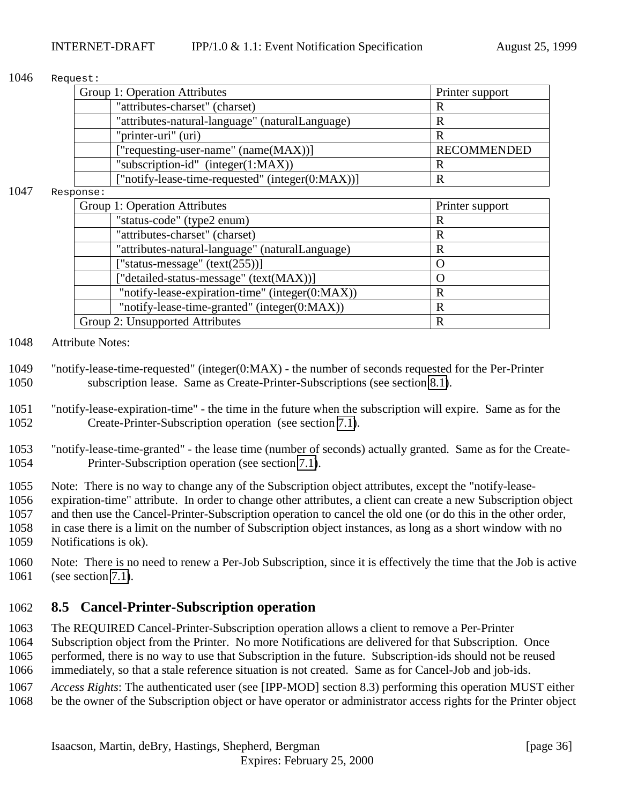#### <span id="page-35-0"></span>1046 Request:

| Printer support    |
|--------------------|
| R                  |
|                    |
| R                  |
| <b>RECOMMENDED</b> |
| R                  |
|                    |
|                    |

#### 1047 Response:

| Group 1: Operation Attributes                   | Printer support    |
|-------------------------------------------------|--------------------|
| "status-code" (type2 enum)                      | R                  |
| "attributes-charset" (charset)                  | R                  |
| "attributes-natural-language" (naturalLanguage) | R                  |
| ["status-message" $(text(255))]$                | $\left( \ \right)$ |
| ["detailed-status-message" (text(MAX))]         |                    |
| "notify-lease-expiration-time" (integer(0:MAX)) | R                  |
| "notify-lease-time-granted" (integer(0:MAX))    | R                  |
| Group 2: Unsupported Attributes                 | R                  |
|                                                 |                    |

#### 1048 Attribute Notes:

- 1049 "notify-lease-time-requested" (integer(0:MAX) the number of seconds requested for the Per-Printer 1050 subscription lease. Same as Create-Printer-Subscriptions (see section [8.1\)](#page-30-0).
- 1051 "notify-lease-expiration-time" the time in the future when the subscription will expire. Same as for the 1052 Create-Printer-Subscription operation (see section [7.1\)](#page-28-0).
- 1053 "notify-lease-time-granted" the lease time (number of seconds) actually granted. Same as for the Create-1054 Printer-Subscription operation (see section [7.1\)](#page-28-0).
- 1055 Note: There is no way to change any of the Subscription object attributes, except the "notify-lease-
- 1056 expiration-time" attribute. In order to change other attributes, a client can create a new Subscription object
- 1057 and then use the Cancel-Printer-Subscription operation to cancel the old one (or do this in the other order, 1058 in case there is a limit on the number of Subscription object instances, as long as a short window with no 1059 Notifications is ok).
- 1060 Note: There is no need to renew a Per-Job Subscription, since it is effectively the time that the Job is active 1061 (see section [7.1\)](#page-28-0).

### 1062 **8.5 Cancel-Printer-Subscription operation**

- 1063 The REQUIRED Cancel-Printer-Subscription operation allows a client to remove a Per-Printer 1064 Subscription object from the Printer. No more Notifications are delivered for that Subscription. Once 1065 performed, there is no way to use that Subscription in the future. Subscription-ids should not be reused 1066 immediately, so that a stale reference situation is not created. Same as for Cancel-Job and job-ids.
- 1067 *Access Rights*: The authenticated user (see [IPP-MOD] section 8.3) performing this operation MUST either
- 1068 be the owner of the Subscription object or have operator or administrator access rights for the Printer object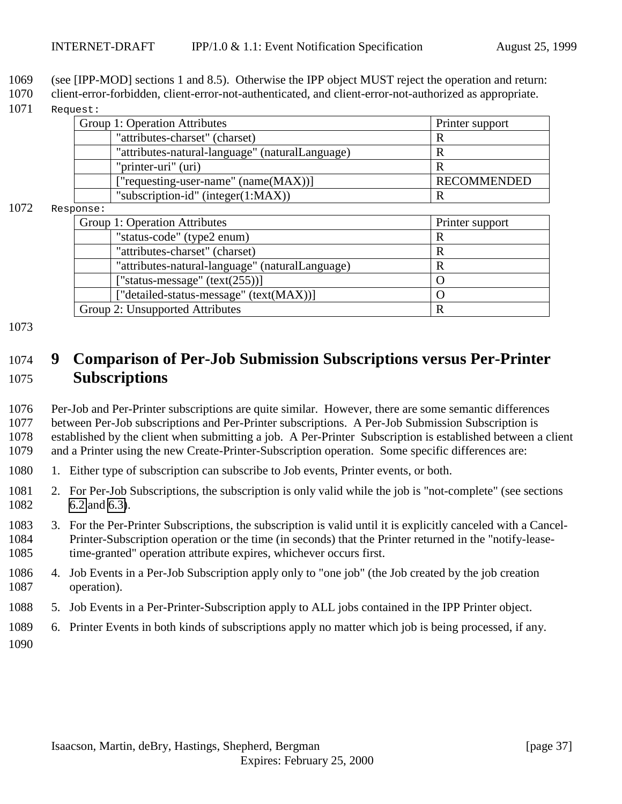- <span id="page-36-0"></span>1069 (see [IPP-MOD] sections 1 and 8.5). Otherwise the IPP object MUST reject the operation and return:
- 1070 client-error-forbidden, client-error-not-authenticated, and client-error-not-authorized as appropriate.
- 1071 Request:

| Group 1: Operation Attributes                   | Printer support    |
|-------------------------------------------------|--------------------|
| "attributes-charset" (charset)                  |                    |
| "attributes-natural-language" (naturalLanguage) |                    |
| "printer-uri" (uri)                             |                    |
| ["requesting-user-name" (name(MAX))]            | <b>RECOMMENDED</b> |
| "subscription-id" (integer(1:MAX))              |                    |
| nnea                                            |                    |

#### $1072$  Resp

| onse -                                          |                 |
|-------------------------------------------------|-----------------|
| Group 1: Operation Attributes                   | Printer support |
| "status-code" (type2 enum)                      | R               |
| "attributes-charset" (charset)                  | R               |
| "attributes-natural-language" (naturalLanguage) | R               |
| ["status-message" $(text(255))]$                |                 |
| ["detailed-status-message" (text(MAX))]         |                 |
| Group 2: Unsupported Attributes                 | R               |

#### 1073

# 1074 **9 Comparison of Per-Job Submission Subscriptions versus Per-Printer** 1075 **Subscriptions**

 Per-Job and Per-Printer subscriptions are quite similar. However, there are some semantic differences between Per-Job subscriptions and Per-Printer subscriptions. A Per-Job Submission Subscription is established by the client when submitting a job. A Per-Printer Subscription is established between a client and a Printer using the new Create-Printer-Subscription operation. Some specific differences are:

- 1080 1. Either type of subscription can subscribe to Job events, Printer events, or both.
- 1081 2. For Per-Job Subscriptions, the subscription is only valid while the job is "not-complete" (see sections 1082 [6.2](#page-25-0) and [6.3\)](#page-27-0).
- 1083 3. For the Per-Printer Subscriptions, the subscription is valid until it is explicitly canceled with a Cancel-1084 Printer-Subscription operation or the time (in seconds) that the Printer returned in the "notify-lease-1085 time-granted" operation attribute expires, whichever occurs first.
- 1086 4. Job Events in a Per-Job Subscription apply only to "one job" (the Job created by the job creation 1087 operation).
- 1088 5. Job Events in a Per-Printer-Subscription apply to ALL jobs contained in the IPP Printer object.
- 1089 6. Printer Events in both kinds of subscriptions apply no matter which job is being processed, if any.
- 1090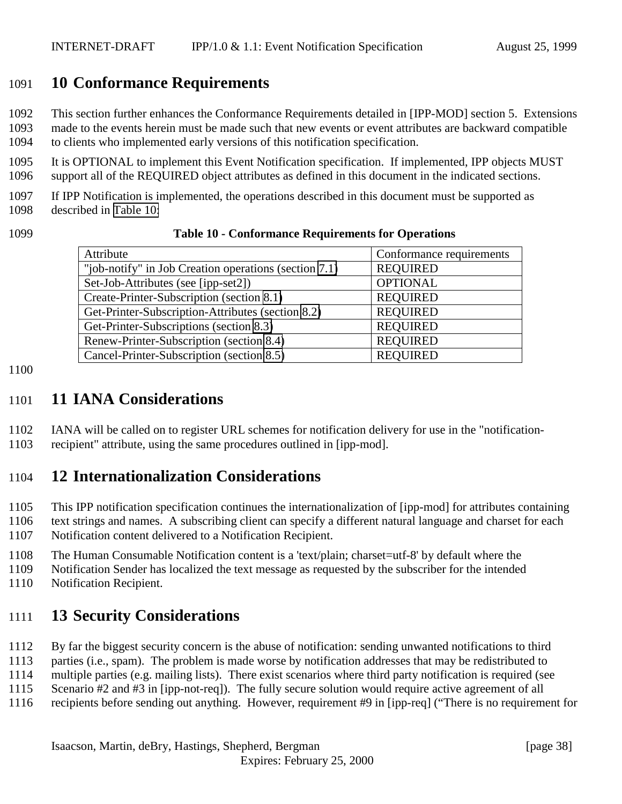# <span id="page-37-0"></span>**10 Conformance Requirements**

This section further enhances the Conformance Requirements detailed in [IPP-MOD] section 5. Extensions

 made to the events herein must be made such that new events or event attributes are backward compatible to clients who implemented early versions of this notification specification.

 It is OPTIONAL to implement this Event Notification specification. If implemented, IPP objects MUST support all of the REQUIRED object attributes as defined in this document in the indicated sections.

 If IPP Notification is implemented, the operations described in this document must be supported as described in Table 10:

| 1099 |  | <b>Table 10 - Conformance Requirements for Operations</b> |
|------|--|-----------------------------------------------------------|
|------|--|-----------------------------------------------------------|

| Attribute                                             | Conformance requirements |
|-------------------------------------------------------|--------------------------|
| "job-notify" in Job Creation operations (section 7.1) | <b>REQUIRED</b>          |
| Set-Job-Attributes (see [ipp-set2])                   | <b>OPTIONAL</b>          |
| Create-Printer-Subscription (section 8.1)             | <b>REQUIRED</b>          |
| Get-Printer-Subscription-Attributes (section 8.2)     | <b>REQUIRED</b>          |
| Get-Printer-Subscriptions (section 8.3)               | <b>REQUIRED</b>          |
| Renew-Printer-Subscription (section 8.4)              | <b>REQUIRED</b>          |
| Cancel-Printer-Subscription (section 8.5)             | <b>REQUIRED</b>          |

#### 

# **11 IANA Considerations**

 IANA will be called on to register URL schemes for notification delivery for use in the "notification-recipient" attribute, using the same procedures outlined in [ipp-mod].

# **12 Internationalization Considerations**

 This IPP notification specification continues the internationalization of [ipp-mod] for attributes containing text strings and names. A subscribing client can specify a different natural language and charset for each Notification content delivered to a Notification Recipient.

The Human Consumable Notification content is a 'text/plain; charset=utf-8' by default where the

Notification Sender has localized the text message as requested by the subscriber for the intended

Notification Recipient.

# **13 Security Considerations**

By far the biggest security concern is the abuse of notification: sending unwanted notifications to third

parties (i.e., spam). The problem is made worse by notification addresses that may be redistributed to

multiple parties (e.g. mailing lists). There exist scenarios where third party notification is required (see

Scenario #2 and #3 in [ipp-not-req]). The fully secure solution would require active agreement of all

recipients before sending out anything. However, requirement #9 in [ipp-req] ("There is no requirement for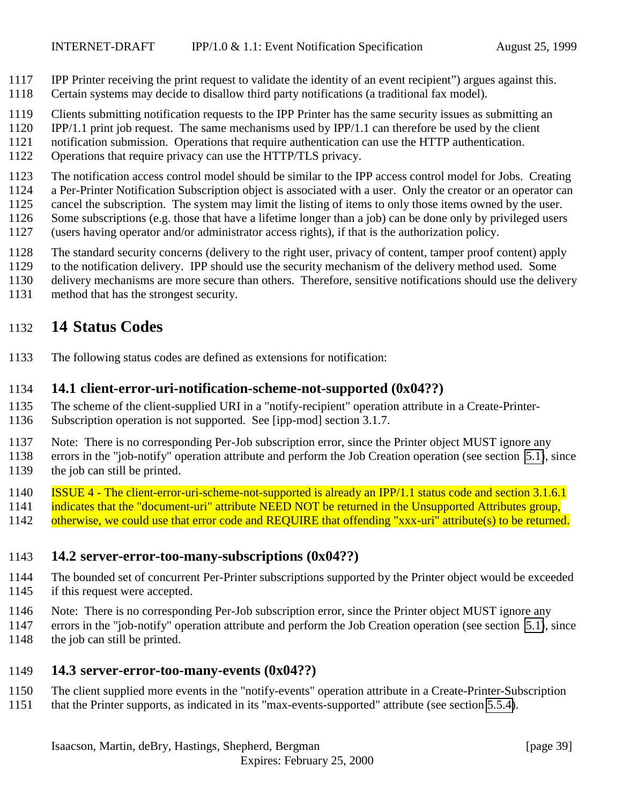- <span id="page-38-0"></span>IPP Printer receiving the print request to validate the identity of an event recipient") argues against this.
- Certain systems may decide to disallow third party notifications (a traditional fax model).
- Clients submitting notification requests to the IPP Printer has the same security issues as submitting an
- IPP/1.1 print job request. The same mechanisms used by IPP/1.1 can therefore be used by the client
- notification submission. Operations that require authentication can use the HTTP authentication.
- Operations that require privacy can use the HTTP/TLS privacy.
- The notification access control model should be similar to the IPP access control model for Jobs. Creating
- a Per-Printer Notification Subscription object is associated with a user. Only the creator or an operator can
- cancel the subscription. The system may limit the listing of items to only those items owned by the user.
- Some subscriptions (e.g. those that have a lifetime longer than a job) can be done only by privileged users
- (users having operator and/or administrator access rights), if that is the authorization policy.
- The standard security concerns (delivery to the right user, privacy of content, tamper proof content) apply
- to the notification delivery. IPP should use the security mechanism of the delivery method used. Some
- delivery mechanisms are more secure than others. Therefore, sensitive notifications should use the delivery
- method that has the strongest security.

# **14 Status Codes**

The following status codes are defined as extensions for notification:

### **14.1 client-error-uri-notification-scheme-not-supported (0x04??)**

- The scheme of the client-supplied URI in a "notify-recipient" operation attribute in a Create-Printer-
- Subscription operation is not supported. See [ipp-mod] section 3.1.7.
- Note: There is no corresponding Per-Job subscription error, since the Printer object MUST ignore any
- errors in the "job-notify" operation attribute and perform the Job Creation operation (see section [5.1\)](#page-15-0), since the job can still be printed.
- ISSUE 4 The client-error-uri-scheme-not-supported is already an IPP/1.1 status code and section 3.1.6.1
- 1141 indicates that the "document-uri" attribute NEED NOT be returned in the Unsupported Attributes group,
- 1142 otherwise, we could use that error code and REQUIRE that offending "xxx-uri" attribute(s) to be returned.

### **14.2 server-error-too-many-subscriptions (0x04??)**

- The bounded set of concurrent Per-Printer subscriptions supported by the Printer object would be exceeded 1145 if this request were accepted.
- 
- Note: There is no corresponding Per-Job subscription error, since the Printer object MUST ignore any
- errors in the "job-notify" operation attribute and perform the Job Creation operation (see section [5.1\)](#page-15-0), since 1148 the job can still be printed.

### **14.3 server-error-too-many-events (0x04??)**

- The client supplied more events in the "notify-events" operation attribute in a Create-Printer-Subscription
- that the Printer supports, as indicated in its "max-events-supported" attribute (see section [5.5.4\)](#page-23-0).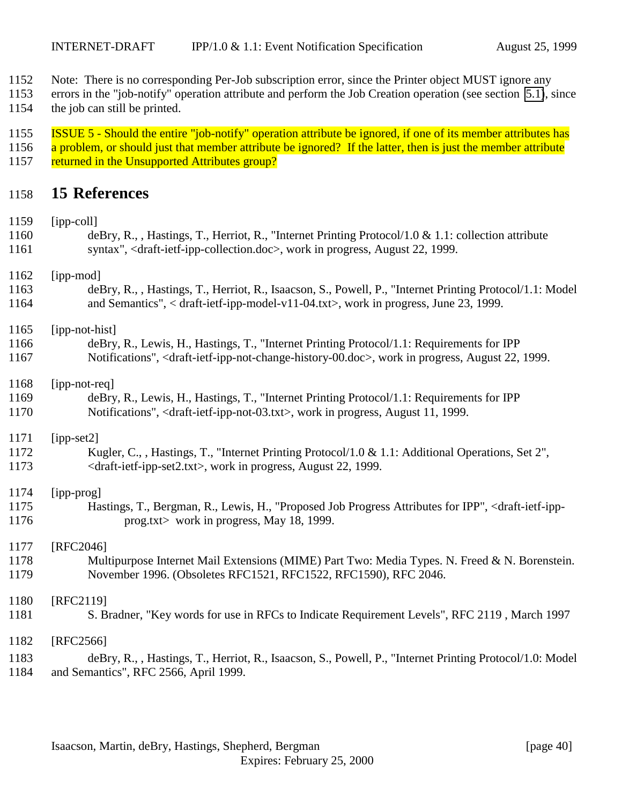- <span id="page-39-0"></span>Note: There is no corresponding Per-Job subscription error, since the Printer object MUST ignore any
- errors in the "job-notify" operation attribute and perform the Job Creation operation (see section [5.1\)](#page-15-0), since the job can still be printed.
- 1155 ISSUE 5 Should the entire "job-notify" operation attribute be ignored, if one of its member attributes has
- 1156 a problem, or should just that member attribute be ignored? If the latter, then is just the member attribute 1157 returned in the Unsupported Attributes group?

## **15 References**

| 1159<br>1160 | $[ipp-coll]$<br>deBry, R., , Hastings, T., Herriot, R., "Internet Printing Protocol/1.0 & 1.1: collection attribute                                                                                                                    |
|--------------|----------------------------------------------------------------------------------------------------------------------------------------------------------------------------------------------------------------------------------------|
| 1161         | syntax", <draft-ietf-ipp-collection.doc>, work in progress, August 22, 1999.</draft-ietf-ipp-collection.doc>                                                                                                                           |
| 1162         | [ipp-mod]                                                                                                                                                                                                                              |
| 1163<br>1164 | deBry, R., , Hastings, T., Herriot, R., Isaacson, S., Powell, P., "Internet Printing Protocol/1.1: Model<br>and Semantics", < draft-ietf-ipp-model-v11-04.txt>, work in progress, June 23, 1999.                                       |
| 1165         | [ipp-not-hist]                                                                                                                                                                                                                         |
| 1166<br>1167 | deBry, R., Lewis, H., Hastings, T., "Internet Printing Protocol/1.1: Requirements for IPP<br>Notifications", <draft-ietf-ipp-not-change-history-00.doc>, work in progress, August 22, 1999.</draft-ietf-ipp-not-change-history-00.doc> |
| 1168         | [ipp-not-req]                                                                                                                                                                                                                          |
| 1169         | deBry, R., Lewis, H., Hastings, T., "Internet Printing Protocol/1.1: Requirements for IPP                                                                                                                                              |
| 1170         | Notifications", <draft-ietf-ipp-not-03.txt>, work in progress, August 11, 1999.</draft-ietf-ipp-not-03.txt>                                                                                                                            |
| 1171         | $[ipp-set2]$                                                                                                                                                                                                                           |
| 1172<br>1173 | Kugler, C., , Hastings, T., "Internet Printing Protocol/1.0 & 1.1: Additional Operations, Set 2",<br><draft-ietf-ipp-set2.txt>, work in progress, August 22, 1999.</draft-ietf-ipp-set2.txt>                                           |
| 1174         | [ipp-prog]                                                                                                                                                                                                                             |
| 1175         | Hastings, T., Bergman, R., Lewis, H., "Proposed Job Progress Attributes for IPP", <draft-ietf-ipp-< td=""></draft-ietf-ipp-<>                                                                                                          |
| 1176         | prog.txt> work in progress, May 18, 1999.                                                                                                                                                                                              |
| 1177         | [RFC2046]                                                                                                                                                                                                                              |
| 1178         | Multipurpose Internet Mail Extensions (MIME) Part Two: Media Types. N. Freed & N. Borenstein.                                                                                                                                          |
| 1179         | November 1996. (Obsoletes RFC1521, RFC1522, RFC1590), RFC 2046.                                                                                                                                                                        |
| 1180         | [RFC2119]                                                                                                                                                                                                                              |
| 1181         | S. Bradner, "Key words for use in RFCs to Indicate Requirement Levels", RFC 2119, March 1997                                                                                                                                           |
| 1182         | [RFC2566]                                                                                                                                                                                                                              |
| 1183         | deBry, R., , Hastings, T., Herriot, R., Isaacson, S., Powell, P., "Internet Printing Protocol/1.0: Model                                                                                                                               |
| 1184         | and Semantics", RFC 2566, April 1999.                                                                                                                                                                                                  |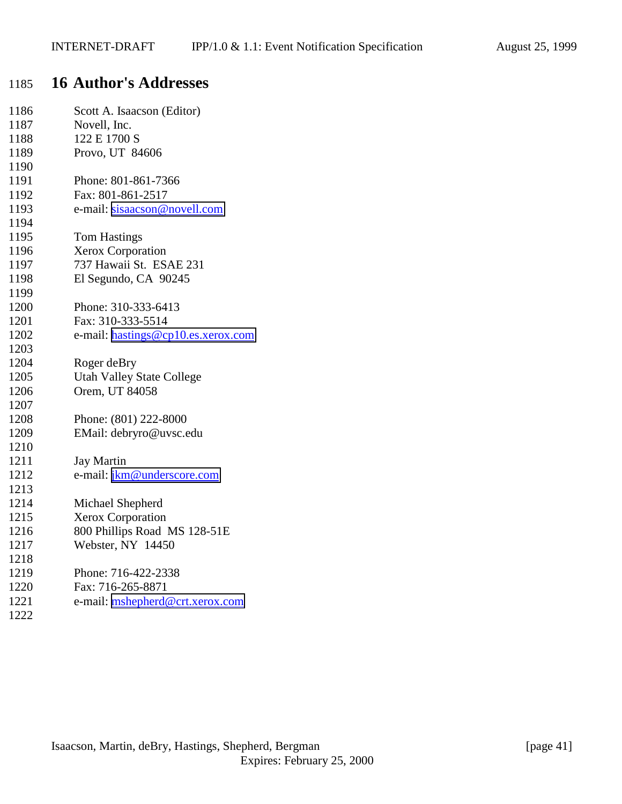# <span id="page-40-0"></span>**16 Author's Addresses**

| 1186 | Scott A. Isaacson (Editor)         |
|------|------------------------------------|
| 1187 | Novell, Inc.                       |
| 1188 | 122 E 1700 S                       |
| 1189 | Provo, UT 84606                    |
| 1190 |                                    |
| 1191 | Phone: 801-861-7366                |
| 1192 | Fax: 801-861-2517                  |
| 1193 | e-mail: sisaacson@novell.com       |
| 1194 |                                    |
| 1195 | <b>Tom Hastings</b>                |
| 1196 | Xerox Corporation                  |
| 1197 | 737 Hawaii St. ESAE 231            |
| 1198 | El Segundo, CA 90245               |
| 1199 |                                    |
| 1200 | Phone: 310-333-6413                |
| 1201 | Fax: 310-333-5514                  |
| 1202 | e-mail: hastings@cp10.es.xerox.com |
| 1203 |                                    |
| 1204 | Roger deBry                        |
| 1205 | <b>Utah Valley State College</b>   |
| 1206 | Orem, UT 84058                     |
| 1207 |                                    |
| 1208 | Phone: (801) 222-8000              |
| 1209 | EMail: debryro@uvsc.edu            |
| 1210 |                                    |
| 1211 | <b>Jay Martin</b>                  |
| 1212 | e-mail: jkm@underscore.com         |
| 1213 |                                    |
| 1214 | Michael Shepherd                   |
| 1215 | Xerox Corporation                  |
| 1216 | 800 Phillips Road MS 128-51E       |
| 1217 | Webster, NY 14450                  |
| 1218 |                                    |
| 1219 | Phone: 716-422-2338                |
| 1220 | Fax: 716-265-8871                  |
| 1221 | e-mail: mshepherd@crt.xerox.com    |
| 1222 |                                    |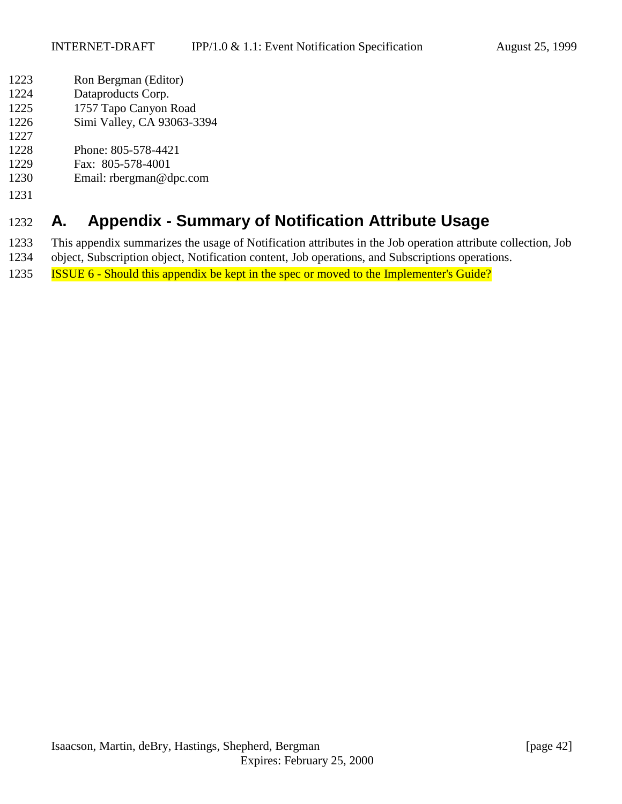- <span id="page-41-0"></span>Ron Bergman (Editor)
- Dataproducts Corp.
- 1757 Tapo Canyon Road
- Simi Valley, CA 93063-3394
- 
- Phone: 805-578-4421
- Fax: 805-578-4001
- Email: rbergman@dpc.com
- 

# **A. Appendix - Summary of Notification Attribute Usage**

- This appendix summarizes the usage of Notification attributes in the Job operation attribute collection, Job
- object, Subscription object, Notification content, Job operations, and Subscriptions operations.
- ISSUE 6 Should this appendix be kept in the spec or moved to the Implementer's Guide?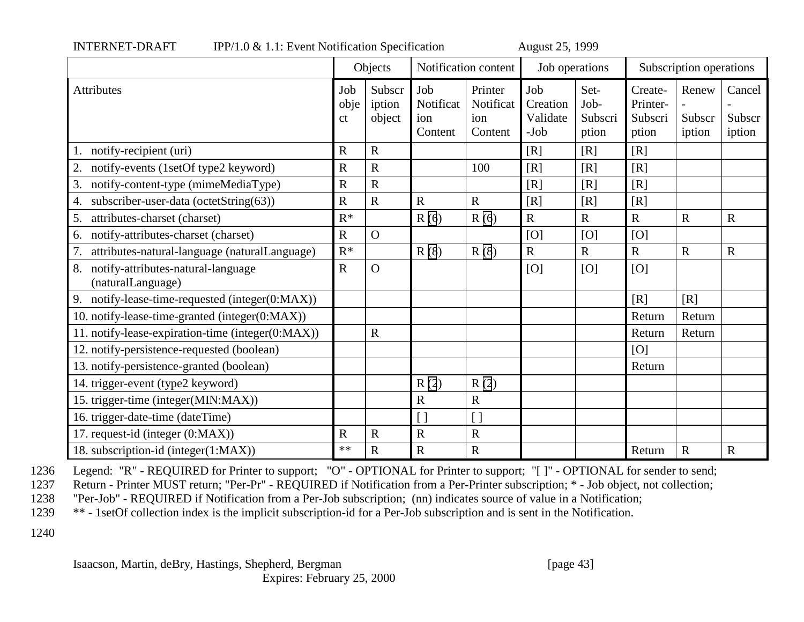|                                                               | Objects           |                            |                                    | Notification content                   | Job operations                      |                                  | Subscription operations                 |                           |                            |
|---------------------------------------------------------------|-------------------|----------------------------|------------------------------------|----------------------------------------|-------------------------------------|----------------------------------|-----------------------------------------|---------------------------|----------------------------|
| <b>Attributes</b>                                             | Job<br>obje<br>ct | Subscr<br>iption<br>object | Job<br>Notificat<br>ion<br>Content | Printer<br>Notificat<br>ion<br>Content | Job<br>Creation<br>Validate<br>-Job | Set-<br>Job-<br>Subscri<br>ption | Create-<br>Printer-<br>Subscri<br>ption | Renew<br>Subscr<br>iption | Cancel<br>Subscr<br>iption |
| notify-recipient (uri)                                        | $\mathbb{R}$      | $\mathbf R$                |                                    |                                        | [R]                                 | [R]                              | [R]                                     |                           |                            |
| 2.<br>notify-events (1setOf type2 keyword)                    | $\mathbf R$       | $\overline{R}$             |                                    | 100                                    | [R]                                 | [R]                              | [R]                                     |                           |                            |
| 3.<br>notify-content-type (mimeMediaType)                     | $\mathbf R$       | $\mathbf R$                |                                    |                                        | [R]                                 | [R]                              | [R]                                     |                           |                            |
| subscriber-user-data (octetString(63))<br>4.                  | $\mathbf R$       | $\mathbf R$                | $\mathbf R$                        | $\mathbf R$                            | [R]                                 | [R]                              | [R]                                     |                           |                            |
| attributes-charset (charset)<br>5.                            | $R^*$             |                            | R(6)                               | R(6)                                   | $\mathbf R$                         | $\mathbf R$                      | $\mathbf R$                             | $\mathbf R$               | $\mathbf R$                |
| notify-attributes-charset (charset)<br>6.                     | $\mathbf R$       | $\overline{O}$             |                                    |                                        | [O]                                 | [O]                              | [O]                                     |                           |                            |
| 7.<br>attributes-natural-language (naturalLanguage)           | $R^*$             |                            | R(8)                               | R(8)                                   | $\overline{R}$                      | $\mathbf R$                      | $\mathbf R$                             | $\mathbf R$               | $\mathbf R$                |
| notify-attributes-natural-language<br>8.<br>(naturalLanguage) | $\mathbf R$       | $\Omega$                   |                                    |                                        | [O]                                 | [O]                              | [O]                                     |                           |                            |
| notify-lease-time-requested (integer(0:MAX))<br>9.            |                   |                            |                                    |                                        |                                     |                                  | [R]                                     | [R]                       |                            |
| 10. notify-lease-time-granted (integer(0:MAX))                |                   |                            |                                    |                                        |                                     |                                  | Return                                  | Return                    |                            |
| 11. notify-lease-expiration-time (integer(0:MAX))             |                   | $\mathbf R$                |                                    |                                        |                                     |                                  | Return                                  | Return                    |                            |
| 12. notify-persistence-requested (boolean)                    |                   |                            |                                    |                                        |                                     |                                  | [O]                                     |                           |                            |
| 13. notify-persistence-granted (boolean)                      |                   |                            |                                    |                                        |                                     |                                  | Return                                  |                           |                            |
| 14. trigger-event (type2 keyword)                             |                   |                            | R(2)                               | R(2)                                   |                                     |                                  |                                         |                           |                            |
| 15. trigger-time (integer(MIN:MAX))                           |                   |                            | $\mathbf R$                        | ${\bf R}$                              |                                     |                                  |                                         |                           |                            |
| 16. trigger-date-time (dateTime)                              |                   |                            | $\overline{1}$                     |                                        |                                     |                                  |                                         |                           |                            |
| 17. request-id (integer (0:MAX))                              | $\mathbf R$       | $\mathbf R$                | $\mathbf R$                        | ${\bf R}$                              |                                     |                                  |                                         |                           |                            |
| 18. subscription-id (integer(1:MAX))                          | **                | $\mathbf R$                | $\overline{R}$                     | $\overline{\text{R}}$                  |                                     |                                  | Return                                  | $\mathbf R$               | $\overline{R}$             |

INTERNET-DRAFT IPP/1.0 & 1.1: Event Notification Specification August 25, 1999

1236 Legend: "R" - REQUIRED for Printer to support; "O" - OPTIONAL for Printer to support; "[ ]" - OPTIONAL for sender to send;

1237 Return - Printer MUST return; "Per-Pr" - REQUIRED if Notification from a Per-Printer subscription; \* - Job object, not collection;

1238 "Per-Job" - REQUIRED if Notification from a Per-Job subscription; (nn) indicates source of value in a Notification;

1239 \*\* - 1setOf collection index is the implicit subscription-id for a Per-Job subscription and is sent in the Notification.

1240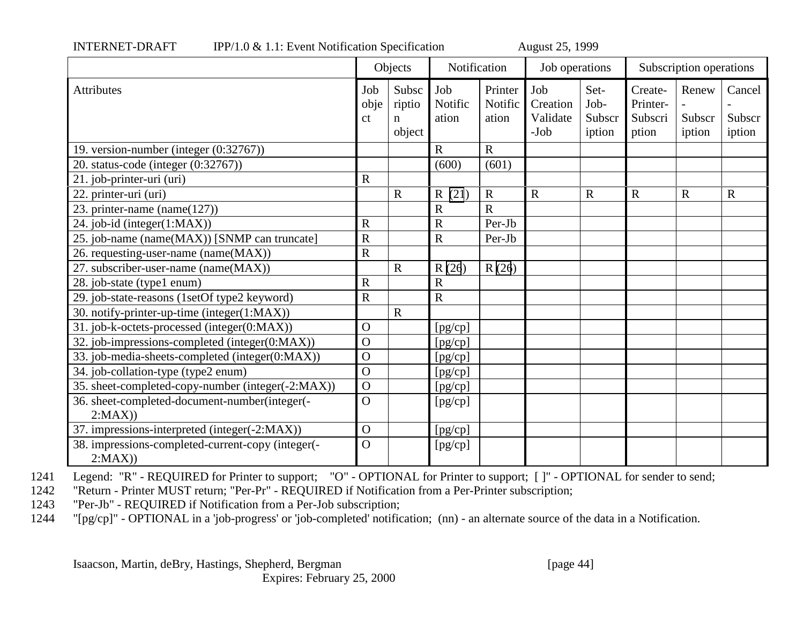|                                                             | Objects               |                                          | Notification            |                             | Job operations                        |                                  | Subscription operations                 |                           |                            |
|-------------------------------------------------------------|-----------------------|------------------------------------------|-------------------------|-----------------------------|---------------------------------------|----------------------------------|-----------------------------------------|---------------------------|----------------------------|
| <b>Attributes</b>                                           | Job<br>obje<br>ct     | Subsc<br>riptio<br>$\mathbf n$<br>object | Job<br>Notific<br>ation | Printer<br>Notific<br>ation | Job<br>Creation<br>Validate<br>$-Job$ | Set-<br>Job-<br>Subscr<br>iption | Create-<br>Printer-<br>Subscri<br>ption | Renew<br>Subscr<br>iption | Cancel<br>Subscr<br>iption |
| 19. version-number (integer (0:32767))                      |                       |                                          | $\mathbf R$             | $\mathbf R$                 |                                       |                                  |                                         |                           |                            |
| 20. status-code (integer (0:32767))                         |                       |                                          | (600)                   | (601)                       |                                       |                                  |                                         |                           |                            |
| 21. job-printer-uri (uri)                                   | $\mathbf R$           |                                          |                         |                             |                                       |                                  |                                         |                           |                            |
| 22. printer-uri (uri)                                       |                       | $\mathbf R$                              | R(21)                   | $\mathbf R$                 | ${\bf R}$                             | $\mathbf R$                      | $\mathbf R$                             | $\mathbf R$               | $\mathbf R$                |
| 23. printer-name (name(127))                                |                       |                                          | $\overline{\text{R}}$   | $\overline{R}$              |                                       |                                  |                                         |                           |                            |
| 24. job-id (integer(1:MAX))                                 | $\mathbf R$           |                                          | $\mathbf R$             | Per-Jb                      |                                       |                                  |                                         |                           |                            |
| 25. job-name (name(MAX)) [SNMP can truncate]                | $\overline{\text{R}}$ |                                          | $\mathbf R$             | Per-Jb                      |                                       |                                  |                                         |                           |                            |
| 26. requesting-user-name (name(MAX))                        | $\mathbf R$           |                                          |                         |                             |                                       |                                  |                                         |                           |                            |
| 27. subscriber-user-name (name(MAX))                        |                       | $\mathbf R$                              | R(26)                   | R(26)                       |                                       |                                  |                                         |                           |                            |
| 28. job-state (type1 enum)                                  | $\mathbf R$           |                                          | $\overline{\mathrm{R}}$ |                             |                                       |                                  |                                         |                           |                            |
| 29. job-state-reasons (1setOf type2 keyword)                | $\mathbf R$           |                                          | $\overline{R}$          |                             |                                       |                                  |                                         |                           |                            |
| 30. notify-printer-up-time (integer(1:MAX))                 |                       | $\mathbf R$                              |                         |                             |                                       |                                  |                                         |                           |                            |
| 31. job-k-octets-processed (integer(0:MAX))                 | $\mathbf{O}$          |                                          | [pg/cp]                 |                             |                                       |                                  |                                         |                           |                            |
| 32. job-impressions-completed (integer(0:MAX))              | $\overline{O}$        |                                          | [pg/cp]                 |                             |                                       |                                  |                                         |                           |                            |
| 33. job-media-sheets-completed (integer(0:MAX))             | $\mathbf{O}$          |                                          | [pg/cp]                 |                             |                                       |                                  |                                         |                           |                            |
| 34. job-collation-type (type2 enum)                         | $\mathbf O$           |                                          | [pg/cp]                 |                             |                                       |                                  |                                         |                           |                            |
| 35. sheet-completed-copy-number (integer(-2:MAX))           | $\mathbf O$           |                                          | [pg/cp]                 |                             |                                       |                                  |                                         |                           |                            |
| 36. sheet-completed-document-number(integer(-<br>2:MAX)     | $\mathbf{O}$          |                                          | [pg/cp]                 |                             |                                       |                                  |                                         |                           |                            |
| 37. impressions-interpreted (integer(-2:MAX))               | $\mathbf{O}$          |                                          | [pg/cp]                 |                             |                                       |                                  |                                         |                           |                            |
| 38. impressions-completed-current-copy (integer(-<br>2:MAX) | $\Omega$              |                                          | [pg/cp]                 |                             |                                       |                                  |                                         |                           |                            |

INTERNET-DRAFT IPP/1.0 & 1.1: Event Notification Specification August 25, 1999

1241 Legend: "R" - REQUIRED for Printer to support; "O" - OPTIONAL for Printer to support; [ ]" - OPTIONAL for sender to send;<br>1242 Feturn - Printer MUST return; "Per-Pr" - REOUIRED if Notification from a Per-Printer subsc

"Return - Printer MUST return; "Per-Pr" - REQUIRED if Notification from a Per-Printer subscription;

1243 "Per-Jb" - REQUIRED if Notification from a Per-Job subscription;

1244 "[pg/cp]" - OPTIONAL in a 'job-progress' or 'job-completed' notification; (nn) - an alternate source of the data in a Notification.

Isaacson, Martin, deBry, Hastings, Shepherd, Bergman [page 44]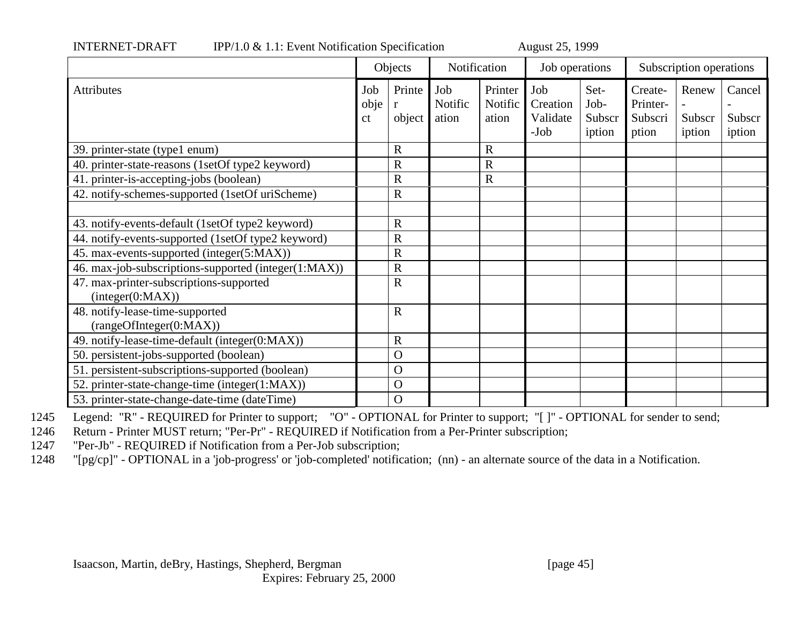|                                                             | Objects                      |                         | Notification            |                             | Job operations                      |                                  | Subscription operations                 |                           |                            |
|-------------------------------------------------------------|------------------------------|-------------------------|-------------------------|-----------------------------|-------------------------------------|----------------------------------|-----------------------------------------|---------------------------|----------------------------|
| <b>Attributes</b>                                           | Job<br>obje<br><sub>ct</sub> | Printe<br>r<br>object   | Job<br>Notific<br>ation | Printer<br>Notific<br>ation | Job<br>Creation<br>Validate<br>-Job | Set-<br>Job-<br>Subscr<br>iption | Create-<br>Printer-<br>Subscri<br>ption | Renew<br>Subscr<br>iption | Cancel<br>Subscr<br>iption |
| 39. printer-state (type1 enum)                              |                              | $\mathbf R$             |                         | R                           |                                     |                                  |                                         |                           |                            |
| 40. printer-state-reasons (1setOf type2 keyword)            |                              | $\mathbf R$             |                         | R                           |                                     |                                  |                                         |                           |                            |
| 41. printer-is-accepting-jobs (boolean)                     |                              | $\overline{\mathrm{R}}$ |                         | $\mathbf R$                 |                                     |                                  |                                         |                           |                            |
| 42. notify-schemes-supported (1setOf uriScheme)             |                              | $\mathbf R$             |                         |                             |                                     |                                  |                                         |                           |                            |
|                                                             |                              |                         |                         |                             |                                     |                                  |                                         |                           |                            |
| 43. notify-events-default (1setOf type2 keyword)            |                              | $\mathbf R$             |                         |                             |                                     |                                  |                                         |                           |                            |
| 44. notify-events-supported (1setOf type2 keyword)          |                              | $\mathbf R$             |                         |                             |                                     |                                  |                                         |                           |                            |
| 45. max-events-supported (integer(5:MAX))                   |                              | $\mathbf R$             |                         |                             |                                     |                                  |                                         |                           |                            |
| 46. max-job-subscriptions-supported (integer(1:MAX))        |                              | $\mathbf R$             |                         |                             |                                     |                                  |                                         |                           |                            |
| 47. max-printer-subscriptions-supported<br>interger(0:MAX)) |                              | $\mathbf R$             |                         |                             |                                     |                                  |                                         |                           |                            |
| 48. notify-lease-time-supported<br>(rangeOfInteger(0:MAX))  |                              | $\overline{R}$          |                         |                             |                                     |                                  |                                         |                           |                            |
| 49. notify-lease-time-default (integer(0:MAX))              |                              | $\mathbf R$             |                         |                             |                                     |                                  |                                         |                           |                            |
| 50. persistent-jobs-supported (boolean)                     |                              | $\Omega$                |                         |                             |                                     |                                  |                                         |                           |                            |
| 51. persistent-subscriptions-supported (boolean)            |                              | $\Omega$                |                         |                             |                                     |                                  |                                         |                           |                            |
| 52. printer-state-change-time (integer(1:MAX))              |                              | $\Omega$                |                         |                             |                                     |                                  |                                         |                           |                            |
| 53. printer-state-change-date-time (dateTime)               |                              | $\Omega$                |                         |                             |                                     |                                  |                                         |                           |                            |

INTERNET-DRAFT IPP/1.0 & 1.1: Event Notification Specification August 25, 1999

1245 Legend: "R" - REQUIRED for Printer to support; "O" - OPTIONAL for Printer to support; "[ ]" - OPTIONAL for sender to send;

1246 Return - Printer MUST return; "Per-Pr" - REQUIRED if Notification from a Per-Printer subscription;

1247 "Per-Jb" - REQUIRED if Notification from a Per-Job subscription;

1248 "[pg/cp]" - OPTIONAL in a 'job-progress' or 'job-completed' notification; (nn) - an alternate source of the data in a Notification.